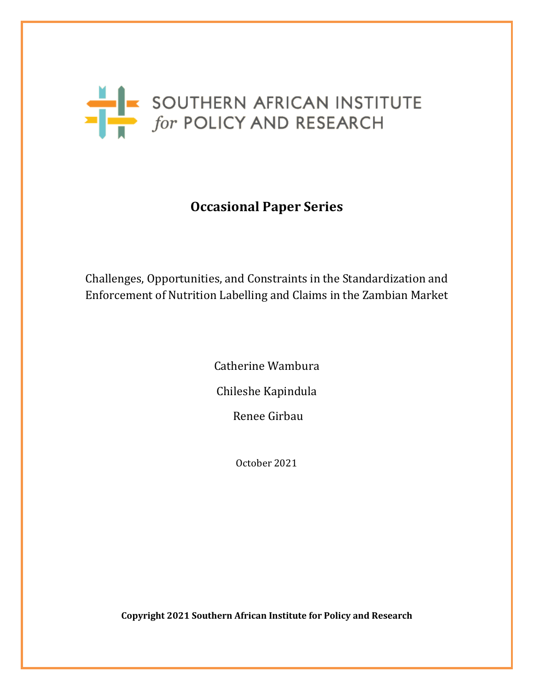

## **Occasional Paper Series**

## Challenges, Opportunities, and Constraints in the Standardization and Enforcement of Nutrition Labelling and Claims in the Zambian Market

Catherine Wambura Chileshe Kapindula Renee Girbau

October 2021

**Copyright 2021 Southern African Institute for Policy and Research**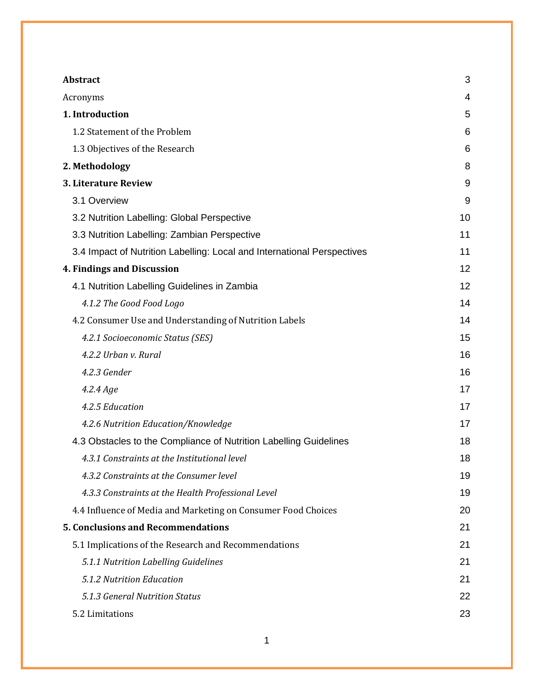| Abstract                                                                | 3  |
|-------------------------------------------------------------------------|----|
| Acronyms                                                                | 4  |
| 1. Introduction                                                         | 5  |
| 1.2 Statement of the Problem                                            | 6  |
| 1.3 Objectives of the Research                                          | 6  |
| 2. Methodology                                                          | 8  |
| 3. Literature Review                                                    | 9  |
| 3.1 Overview                                                            | 9  |
| 3.2 Nutrition Labelling: Global Perspective                             | 10 |
| 3.3 Nutrition Labelling: Zambian Perspective                            | 11 |
| 3.4 Impact of Nutrition Labelling: Local and International Perspectives | 11 |
| 4. Findings and Discussion                                              | 12 |
| 4.1 Nutrition Labelling Guidelines in Zambia                            | 12 |
| 4.1.2 The Good Food Logo                                                | 14 |
| 4.2 Consumer Use and Understanding of Nutrition Labels                  | 14 |
| 4.2.1 Socioeconomic Status (SES)                                        | 15 |
| 4.2.2 Urban v. Rural                                                    | 16 |
| 4.2.3 Gender                                                            | 16 |
| 4.2.4 Age                                                               | 17 |
| 4.2.5 Education                                                         | 17 |
| 4.2.6 Nutrition Education/Knowledge                                     | 17 |
| 4.3 Obstacles to the Compliance of Nutrition Labelling Guidelines       | 18 |
| 4.3.1 Constraints at the Institutional level                            | 18 |
| 4.3.2 Constraints at the Consumer level                                 | 19 |
| 4.3.3 Constraints at the Health Professional Level                      | 19 |
| 4.4 Influence of Media and Marketing on Consumer Food Choices           | 20 |
| <b>5. Conclusions and Recommendations</b>                               | 21 |
| 5.1 Implications of the Research and Recommendations                    | 21 |
| 5.1.1 Nutrition Labelling Guidelines                                    | 21 |
| 5.1.2 Nutrition Education                                               | 21 |
| 5.1.3 General Nutrition Status                                          | 22 |
| 5.2 Limitations                                                         | 23 |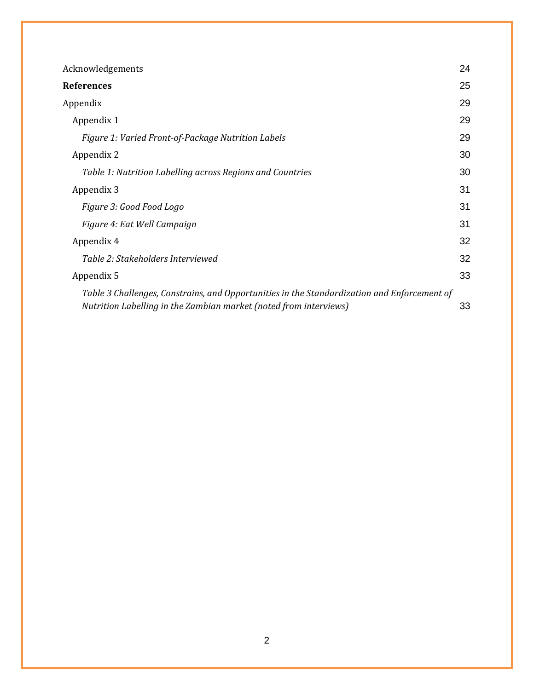| Acknowledgements                                                                                                                                                 | 24 |
|------------------------------------------------------------------------------------------------------------------------------------------------------------------|----|
| <b>References</b>                                                                                                                                                | 25 |
| Appendix                                                                                                                                                         | 29 |
| Appendix 1                                                                                                                                                       | 29 |
| Figure 1: Varied Front-of-Package Nutrition Labels                                                                                                               | 29 |
| Appendix 2                                                                                                                                                       | 30 |
| Table 1: Nutrition Labelling across Regions and Countries                                                                                                        | 30 |
| Appendix 3                                                                                                                                                       | 31 |
| Figure 3: Good Food Logo                                                                                                                                         | 31 |
| Figure 4: Eat Well Campaign                                                                                                                                      | 31 |
| Appendix 4                                                                                                                                                       | 32 |
| Table 2: Stakeholders Interviewed                                                                                                                                | 32 |
| Appendix 5                                                                                                                                                       | 33 |
| Table 3 Challenges, Constrains, and Opportunities in the Standardization and Enforcement of<br>Nutrition Labelling in the Zambian market (noted from interviews) | 33 |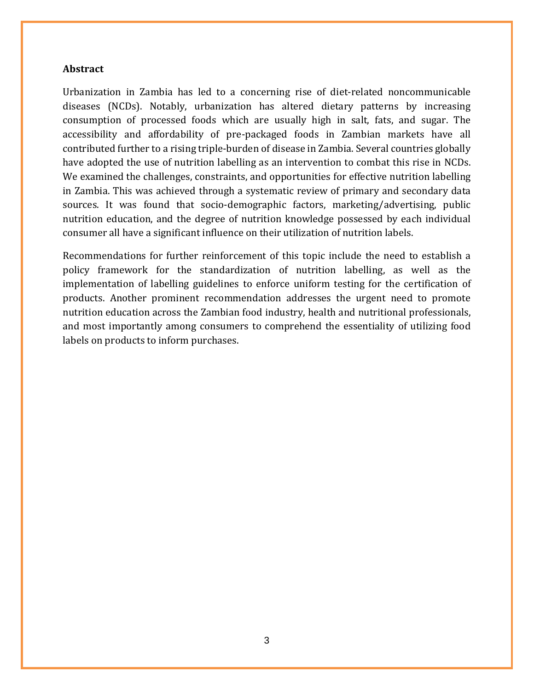#### <span id="page-3-0"></span>**Abstract**

Urbanization in Zambia has led to a concerning rise of diet-related noncommunicable diseases (NCDs). Notably, urbanization has altered dietary patterns by increasing consumption of processed foods which are usually high in salt, fats, and sugar. The accessibility and affordability of pre-packaged foods in Zambian markets have all contributed further to a rising triple-burden of disease in Zambia. Several countries globally have adopted the use of nutrition labelling as an intervention to combat this rise in NCDs. We examined the challenges, constraints, and opportunities for effective nutrition labelling in Zambia. This was achieved through a systematic review of primary and secondary data sources. It was found that socio-demographic factors, marketing/advertising, public nutrition education, and the degree of nutrition knowledge possessed by each individual consumer all have a significant influence on their utilization of nutrition labels.

Recommendations for further reinforcement of this topic include the need to establish a policy framework for the standardization of nutrition labelling, as well as the implementation of labelling guidelines to enforce uniform testing for the certification of products. Another prominent recommendation addresses the urgent need to promote nutrition education across the Zambian food industry, health and nutritional professionals, and most importantly among consumers to comprehend the essentiality of utilizing food labels on products to inform purchases.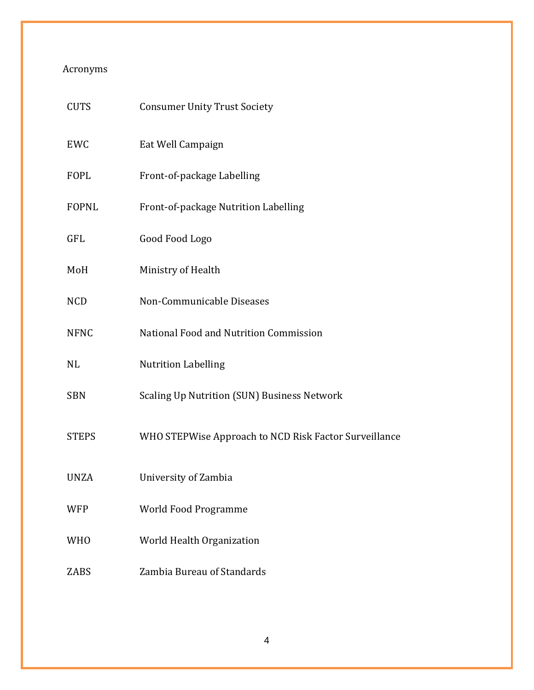### <span id="page-4-0"></span>Acronyms

| <b>CUTS</b>  | <b>Consumer Unity Trust Society</b>                   |
|--------------|-------------------------------------------------------|
| EWC          | Eat Well Campaign                                     |
| <b>FOPL</b>  | Front-of-package Labelling                            |
| <b>FOPNL</b> | Front-of-package Nutrition Labelling                  |
| GFL          | Good Food Logo                                        |
| MoH          | Ministry of Health                                    |
| <b>NCD</b>   | Non-Communicable Diseases                             |
| <b>NFNC</b>  | National Food and Nutrition Commission                |
| NL           | <b>Nutrition Labelling</b>                            |
| <b>SBN</b>   | <b>Scaling Up Nutrition (SUN) Business Network</b>    |
| <b>STEPS</b> | WHO STEPWise Approach to NCD Risk Factor Surveillance |
| <b>UNZA</b>  | University of Zambia                                  |
| <b>WFP</b>   | <b>World Food Programme</b>                           |
| <b>WHO</b>   | World Health Organization                             |
| <b>ZABS</b>  | Zambia Bureau of Standards                            |
|              |                                                       |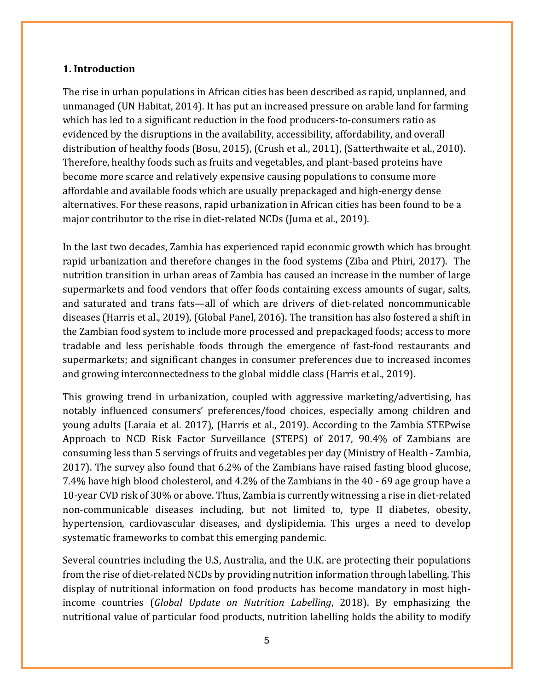#### <span id="page-5-0"></span>**1. Introduction**

The rise in urban populations in African cities has been described as rapid, unplanned, and unmanaged (UN Habitat, 2014). It has put an increased pressure on arable land for farming which has led to a significant reduction in the food producers-to-consumers ratio as evidenced by the disruptions in the availability, accessibility, affordability, and overall distribution of healthy foods (Bosu, 2015), (Crush et al., 2011), (Satterthwaite et al., 2010). Therefore, healthy foods such as fruits and vegetables, and plant-based proteins have become more scarce and relatively expensive causing populations to consume more affordable and available foods which are usually prepackaged and high-energy dense alternatives. For these reasons, rapid urbanization in African cities has been found to be a major contributor to the rise in diet-related NCDs (Juma et al., 2019).

In the last two decades, Zambia has experienced rapid economic growth which has brought rapid urbanization and therefore changes in the food systems (Ziba and Phiri, 2017). The nutrition transition in urban areas of Zambia has caused an increase in the number of large supermarkets and food vendors that offer foods containing excess amounts of sugar, salts, and saturated and trans fats—all of which are drivers of diet-related noncommunicable diseases (Harris et al., 2019), (Global Panel, 2016). The transition has also fostered a shift in the Zambian food system to include more processed and prepackaged foods; access to more tradable and less perishable foods through the emergence of fast-food restaurants and supermarkets; and significant changes in consumer preferences due to increased incomes and growing interconnectedness to the global middle class (Harris et al., 2019).

This growing trend in urbanization, coupled with aggressive marketing/advertising, has notably influenced consumers' preferences/food choices, especially among children and young adults (Laraia et al. 2017), (Harris et al., 2019). According to the Zambia STEPwise Approach to NCD Risk Factor Surveillance (STEPS) of 2017, 90.4% of Zambians are consuming less than 5 servings of fruits and vegetables per day (Ministry of Health - Zambia, 2017). The survey also found that 6.2% of the Zambians have raised fasting blood glucose, 7.4% have high blood cholesterol, and 4.2% of the Zambians in the 40 - 69 age group have a 10-year CVD risk of 30% or above. Thus, Zambia is currently witnessing a rise in diet-related non-communicable diseases including, but not limited to, type II diabetes, obesity, hypertension, cardiovascular diseases, and dyslipidemia. This urges a need to develop systematic frameworks to combat this emerging pandemic.

Several countries including the U.S, Australia, and the U.K. are protecting their populations from the rise of diet-related NCDs by providing nutrition information through labelling. This display of nutritional information on food products has become mandatory in most highincome countries (*Global Update on Nutrition Labelling*, 2018). By emphasizing the nutritional value of particular food products, nutrition labelling holds the ability to modify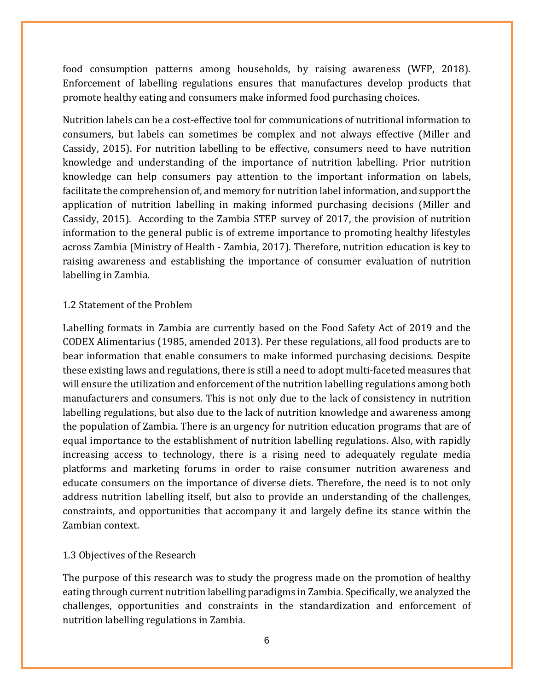food consumption patterns among households, by raising awareness (WFP, 2018). Enforcement of labelling regulations ensures that manufactures develop products that promote healthy eating and consumers make informed food purchasing choices.

Nutrition labels can be a cost-effective tool for communications of nutritional information to consumers, but labels can sometimes be complex and not always effective (Miller and Cassidy, 2015). For nutrition labelling to be effective, consumers need to have nutrition knowledge and understanding of the importance of nutrition labelling. Prior nutrition knowledge can help consumers pay attention to the important information on labels, facilitate the comprehension of, and memory for nutrition label information, and support the application of nutrition labelling in making informed purchasing decisions (Miller and Cassidy, 2015). According to the Zambia STEP survey of 2017, the provision of nutrition information to the general public is of extreme importance to promoting healthy lifestyles across Zambia (Ministry of Health - Zambia, 2017). Therefore, nutrition education is key to raising awareness and establishing the importance of consumer evaluation of nutrition labelling in Zambia.

#### <span id="page-6-0"></span>1.2 Statement of the Problem

Labelling formats in Zambia are currently based on the Food Safety Act of 2019 and the CODEX Alimentarius (1985, amended 2013). Per these regulations, all food products are to bear information that enable consumers to make informed purchasing decisions. Despite these existing laws and regulations, there is still a need to adopt multi-faceted measures that will ensure the utilization and enforcement of the nutrition labelling regulations among both manufacturers and consumers. This is not only due to the lack of consistency in nutrition labelling regulations, but also due to the lack of nutrition knowledge and awareness among the population of Zambia. There is an urgency for nutrition education programs that are of equal importance to the establishment of nutrition labelling regulations. Also, with rapidly increasing access to technology, there is a rising need to adequately regulate media platforms and marketing forums in order to raise consumer nutrition awareness and educate consumers on the importance of diverse diets. Therefore, the need is to not only address nutrition labelling itself, but also to provide an understanding of the challenges, constraints, and opportunities that accompany it and largely define its stance within the Zambian context.

#### <span id="page-6-1"></span>1.3 Objectives of the Research

The purpose of this research was to study the progress made on the promotion of healthy eating through current nutrition labelling paradigms in Zambia. Specifically, we analyzed the challenges, opportunities and constraints in the standardization and enforcement of nutrition labelling regulations in Zambia.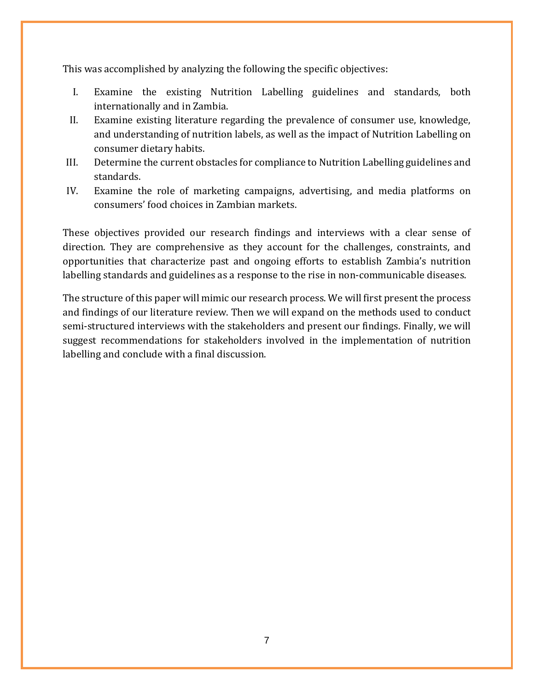This was accomplished by analyzing the following the specific objectives:

- I. Examine the existing Nutrition Labelling guidelines and standards, both internationally and in Zambia.
- II. Examine existing literature regarding the prevalence of consumer use, knowledge, and understanding of nutrition labels, as well as the impact of Nutrition Labelling on consumer dietary habits.
- III. Determine the current obstacles for compliance to Nutrition Labelling guidelines and standards.
- IV. Examine the role of marketing campaigns, advertising, and media platforms on consumers' food choices in Zambian markets.

These objectives provided our research findings and interviews with a clear sense of direction. They are comprehensive as they account for the challenges, constraints, and opportunities that characterize past and ongoing efforts to establish Zambia's nutrition labelling standards and guidelines as a response to the rise in non-communicable diseases.

The structure of this paper will mimic our research process. We will first present the process and findings of our literature review. Then we will expand on the methods used to conduct semi-structured interviews with the stakeholders and present our findings. Finally, we will suggest recommendations for stakeholders involved in the implementation of nutrition labelling and conclude with a final discussion.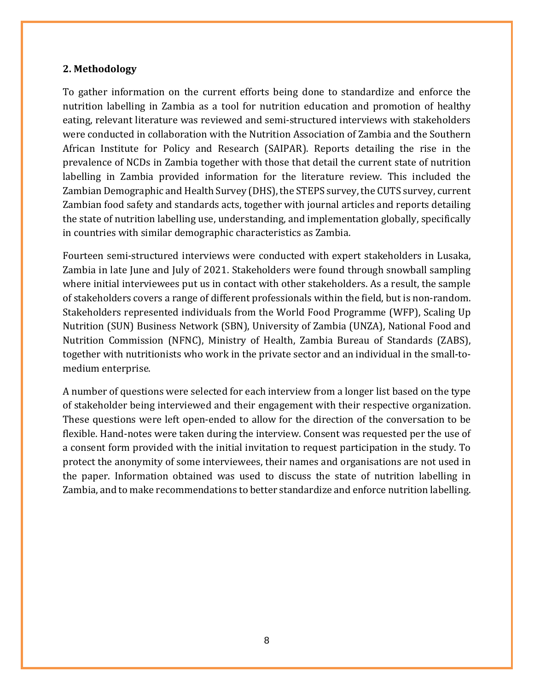#### <span id="page-8-0"></span>**2. Methodology**

To gather information on the current efforts being done to standardize and enforce the nutrition labelling in Zambia as a tool for nutrition education and promotion of healthy eating, relevant literature was reviewed and semi-structured interviews with stakeholders were conducted in collaboration with the Nutrition Association of Zambia and the Southern African Institute for Policy and Research (SAIPAR). Reports detailing the rise in the prevalence of NCDs in Zambia together with those that detail the current state of nutrition labelling in Zambia provided information for the literature review. This included the Zambian Demographic and Health Survey (DHS), the STEPS survey, the CUTS survey, current Zambian food safety and standards acts, together with journal articles and reports detailing the state of nutrition labelling use, understanding, and implementation globally, specifically in countries with similar demographic characteristics as Zambia.

Fourteen semi-structured interviews were conducted with expert stakeholders in Lusaka, Zambia in late June and July of 2021. Stakeholders were found through snowball sampling where initial interviewees put us in contact with other stakeholders. As a result, the sample of stakeholders covers a range of different professionals within the field, but is non-random. Stakeholders represented individuals from the World Food Programme (WFP), Scaling Up Nutrition (SUN) Business Network (SBN), University of Zambia (UNZA), National Food and Nutrition Commission (NFNC), Ministry of Health, Zambia Bureau of Standards (ZABS), together with nutritionists who work in the private sector and an individual in the small-tomedium enterprise.

A number of questions were selected for each interview from a longer list based on the type of stakeholder being interviewed and their engagement with their respective organization. These questions were left open-ended to allow for the direction of the conversation to be flexible. Hand-notes were taken during the interview. Consent was requested per the use of a consent form provided with the initial invitation to request participation in the study. To protect the anonymity of some interviewees, their names and organisations are not used in the paper. Information obtained was used to discuss the state of nutrition labelling in Zambia, and to make recommendations to better standardize and enforce nutrition labelling.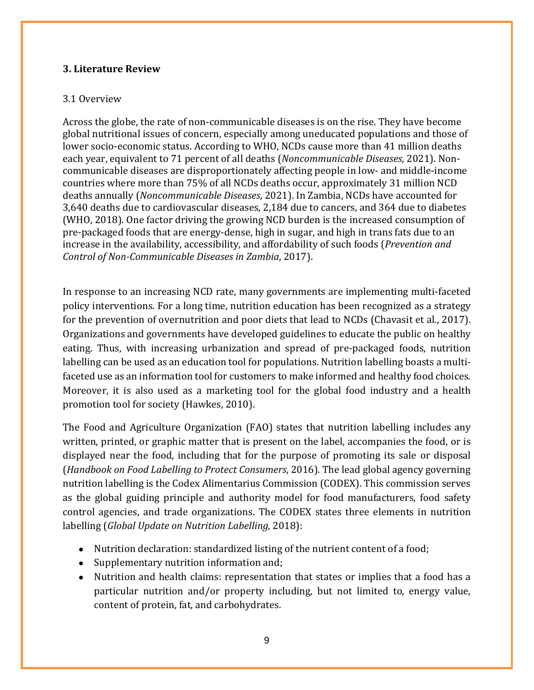#### <span id="page-9-0"></span>**3. Literature Review**

#### <span id="page-9-1"></span>3.1 Overview

Across the globe, the rate of non-communicable diseases is on the rise. They have become global nutritional issues of concern, especially among uneducated populations and those of lower socio-economic status. According to WHO, NCDs cause more than 41 million deaths each year, equivalent to 71 percent of all deaths (*Noncommunicable Diseases*, 2021). Noncommunicable diseases are disproportionately affecting people in low- and middle-income countries where more than 75% of all NCDs deaths occur, approximately 31 million NCD deaths annually (*Noncommunicable Diseases*, 2021). In Zambia, NCDs have accounted for 3,640 deaths due to cardiovascular diseases, 2,184 due to cancers, and 364 due to diabetes (WHO, 2018). One factor driving the growing NCD burden is the increased consumption of pre-packaged foods that are energy-dense, high in sugar, and high in trans fats due to an increase in the availability, accessibility, and affordability of such foods (*Prevention and Control of Non-Communicable Diseases in Zambia*, 2017).

In response to an increasing NCD rate, many governments are implementing multi-faceted policy interventions. For a long time, nutrition education has been recognized as a strategy for the prevention of overnutrition and poor diets that lead to NCDs (Chavasit et al., 2017). Organizations and governments have developed guidelines to educate the public on healthy eating. Thus, with increasing urbanization and spread of pre-packaged foods, nutrition labelling can be used as an education tool for populations. Nutrition labelling boasts a multifaceted use as an information tool for customers to make informed and healthy food choices. Moreover, it is also used as a marketing tool for the global food industry and a health promotion tool for society (Hawkes, 2010).

The Food and Agriculture Organization (FAO) states that nutrition labelling includes any written, printed, or graphic matter that is present on the label, accompanies the food, or is displayed near the food, including that for the purpose of promoting its sale or disposal (*Handbook on Food Labelling to Protect Consumers*, 2016). The lead global agency governing nutrition labelling is the Codex Alimentarius Commission (CODEX). This commission serves as the global guiding principle and authority model for food manufacturers, food safety control agencies, and trade organizations. The CODEX states three elements in nutrition labelling (*Global Update on Nutrition Labelling*, 2018):

- Nutrition declaration: standardized listing of the nutrient content of a food;
- Supplementary nutrition information and;
- Nutrition and health claims: representation that states or implies that a food has a particular nutrition and/or property including, but not limited to, energy value, content of protein, fat, and carbohydrates.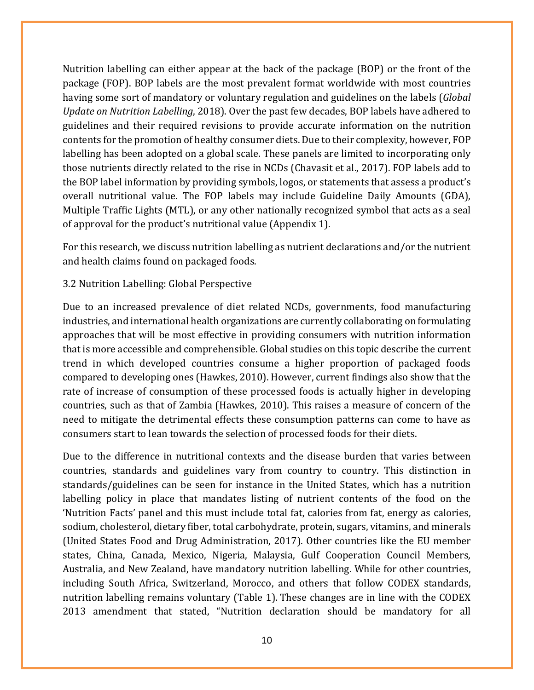Nutrition labelling can either appear at the back of the package (BOP) or the front of the package (FOP). BOP labels are the most prevalent format worldwide with most countries having some sort of mandatory or voluntary regulation and guidelines on the labels (*Global Update on Nutrition Labelling*, 2018). Over the past few decades, BOP labels have adhered to guidelines and their required revisions to provide accurate information on the nutrition contents for the promotion of healthy consumer diets. Due to their complexity, however, FOP labelling has been adopted on a global scale. These panels are limited to incorporating only those nutrients directly related to the rise in NCDs (Chavasit et al., 2017). FOP labels add to the BOP label information by providing symbols, logos, or statements that assess a product's overall nutritional value. The FOP labels may include Guideline Daily Amounts (GDA), Multiple Traffic Lights (MTL), or any other nationally recognized symbol that acts as a seal of approval for the product's nutritional value (Appendix 1).

For this research, we discuss nutrition labelling as nutrient declarations and/or the nutrient and health claims found on packaged foods.

#### <span id="page-10-0"></span>3.2 Nutrition Labelling: Global Perspective

Due to an increased prevalence of diet related NCDs, governments, food manufacturing industries, and international health organizations are currently collaborating on formulating approaches that will be most effective in providing consumers with nutrition information that is more accessible and comprehensible. Global studies on this topic describe the current trend in which developed countries consume a higher proportion of packaged foods compared to developing ones (Hawkes, 2010). However, current findings also show that the rate of increase of consumption of these processed foods is actually higher in developing countries, such as that of Zambia (Hawkes, 2010). This raises a measure of concern of the need to mitigate the detrimental effects these consumption patterns can come to have as consumers start to lean towards the selection of processed foods for their diets.

Due to the difference in nutritional contexts and the disease burden that varies between countries, standards and guidelines vary from country to country. This distinction in standards/guidelines can be seen for instance in the United States, which has a nutrition labelling policy in place that mandates listing of nutrient contents of the food on the 'Nutrition Facts' panel and this must include total fat, calories from fat, energy as calories, sodium, cholesterol, dietary fiber, total carbohydrate, protein, sugars, vitamins, and minerals (United States Food and Drug Administration, 2017). Other countries like the EU member states, China, Canada, Mexico, Nigeria, Malaysia, Gulf Cooperation Council Members, Australia, and New Zealand, have mandatory nutrition labelling. While for other countries, including South Africa, Switzerland, Morocco, and others that follow CODEX standards, nutrition labelling remains voluntary (Table 1). These changes are in line with the CODEX 2013 amendment that stated, "Nutrition declaration should be mandatory for all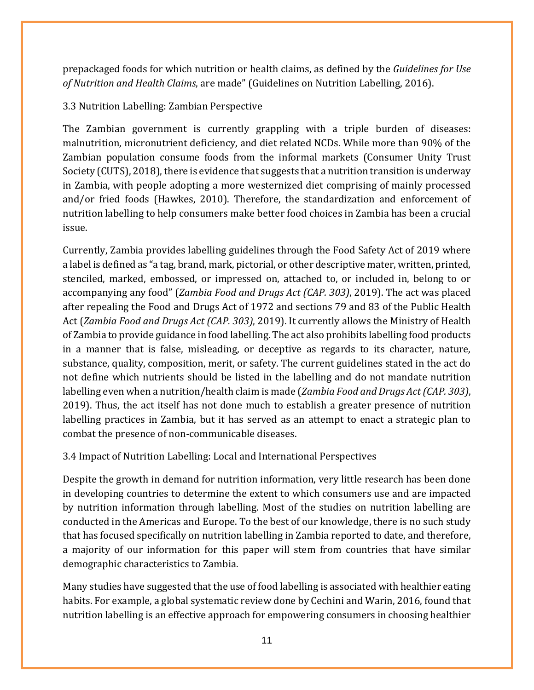prepackaged foods for which nutrition or health claims, as defined by the *Guidelines for Use of Nutrition and Health Claims*, are made" (Guidelines on Nutrition Labelling, 2016).

#### <span id="page-11-0"></span>3.3 Nutrition Labelling: Zambian Perspective

The Zambian government is currently grappling with a triple burden of diseases: malnutrition, micronutrient deficiency, and diet related NCDs. While more than 90% of the Zambian population consume foods from the informal markets (Consumer Unity Trust Society (CUTS), 2018), there is evidence that suggests that a nutrition transition is underway in Zambia, with people adopting a more westernized diet comprising of mainly processed and/or fried foods (Hawkes, 2010). Therefore, the standardization and enforcement of nutrition labelling to help consumers make better food choices in Zambia has been a crucial issue.

Currently, Zambia provides labelling guidelines through the Food Safety Act of 2019 where a label is defined as "a tag, brand, mark, pictorial, or other descriptive mater, written, printed, stenciled, marked, embossed, or impressed on, attached to, or included in, belong to or accompanying any food" (*Zambia Food and Drugs Act (CAP. 303)*, 2019). The act was placed after repealing the Food and Drugs Act of 1972 and sections 79 and 83 of the Public Health Act (*Zambia Food and Drugs Act (CAP. 303)*, 2019). It currently allows the Ministry of Health of Zambia to provide guidance in food labelling. The act also prohibits labelling food products in a manner that is false, misleading, or deceptive as regards to its character, nature, substance, quality, composition, merit, or safety. The current guidelines stated in the act do not define which nutrients should be listed in the labelling and do not mandate nutrition labelling even when a nutrition/health claim is made (*Zambia Food and Drugs Act (CAP. 303)*, 2019). Thus, the act itself has not done much to establish a greater presence of nutrition labelling practices in Zambia, but it has served as an attempt to enact a strategic plan to combat the presence of non-communicable diseases.

#### <span id="page-11-1"></span>3.4 Impact of Nutrition Labelling: Local and International Perspectives

Despite the growth in demand for nutrition information, very little research has been done in developing countries to determine the extent to which consumers use and are impacted by nutrition information through labelling. Most of the studies on nutrition labelling are conducted in the Americas and Europe. To the best of our knowledge, there is no such study that has focused specifically on nutrition labelling in Zambia reported to date, and therefore, a majority of our information for this paper will stem from countries that have similar demographic characteristics to Zambia.

Many studies have suggested that the use of food labelling is associated with healthier eating habits. For example, a global systematic review done by Cechini and Warin, 2016, found that nutrition labelling is an effective approach for empowering consumers in choosing healthier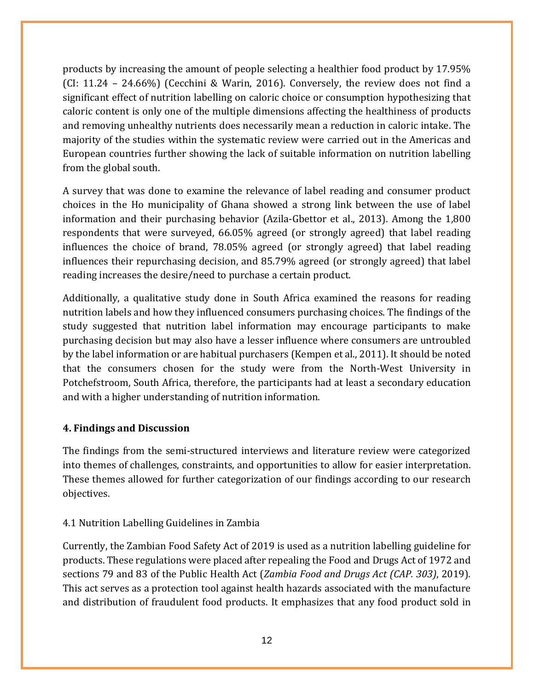products by increasing the amount of people selecting a healthier food product by 17.95% (CI: 11.24 – 24.66%) (Cecchini & Warin, 2016). Conversely, the review does not find a significant effect of nutrition labelling on caloric choice or consumption hypothesizing that caloric content is only one of the multiple dimensions affecting the healthiness of products and removing unhealthy nutrients does necessarily mean a reduction in caloric intake. The majority of the studies within the systematic review were carried out in the Americas and European countries further showing the lack of suitable information on nutrition labelling from the global south.

A survey that was done to examine the relevance of label reading and consumer product choices in the Ho municipality of Ghana showed a strong link between the use of label information and their purchasing behavior (Azila-Gbettor et al., 2013). Among the 1,800 respondents that were surveyed, 66.05% agreed (or strongly agreed) that label reading influences the choice of brand, 78.05% agreed (or strongly agreed) that label reading influences their repurchasing decision, and 85.79% agreed (or strongly agreed) that label reading increases the desire/need to purchase a certain product.

Additionally, a qualitative study done in South Africa examined the reasons for reading nutrition labels and how they influenced consumers purchasing choices. The findings of the study suggested that nutrition label information may encourage participants to make purchasing decision but may also have a lesser influence where consumers are untroubled by the label information or are habitual purchasers (Kempen et al., 2011). It should be noted that the consumers chosen for the study were from the North-West University in Potchefstroom, South Africa, therefore, the participants had at least a secondary education and with a higher understanding of nutrition information.

#### <span id="page-12-0"></span>**4. Findings and Discussion**

The findings from the semi-structured interviews and literature review were categorized into themes of challenges, constraints, and opportunities to allow for easier interpretation. These themes allowed for further categorization of our findings according to our research objectives.

#### <span id="page-12-1"></span>4.1 Nutrition Labelling Guidelines in Zambia

Currently, the Zambian Food Safety Act of 2019 is used as a nutrition labelling guideline for products. These regulations were placed after repealing the Food and Drugs Act of 1972 and sections 79 and 83 of the Public Health Act (*Zambia Food and Drugs Act (CAP. 303)*, 2019). This act serves as a protection tool against health hazards associated with the manufacture and distribution of fraudulent food products. It emphasizes that any food product sold in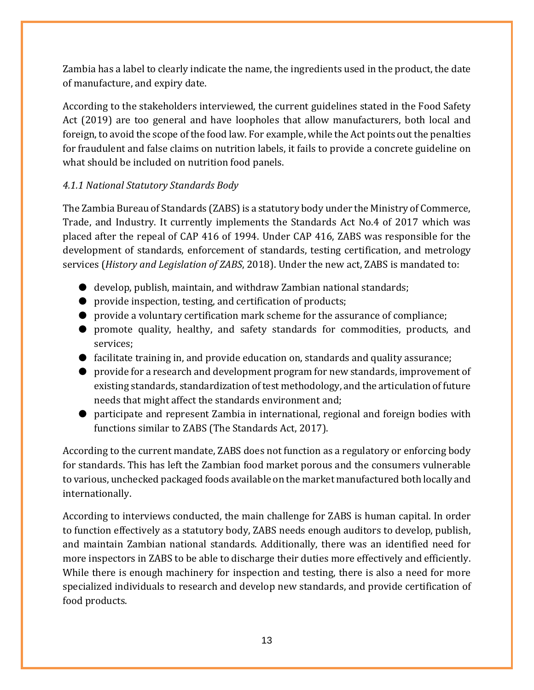Zambia has a label to clearly indicate the name, the ingredients used in the product, the date of manufacture, and expiry date.

According to the stakeholders interviewed, the current guidelines stated in the Food Safety Act (2019) are too general and have loopholes that allow manufacturers, both local and foreign, to avoid the scope of the food law. For example, while the Act points out the penalties for fraudulent and false claims on nutrition labels, it fails to provide a concrete guideline on what should be included on nutrition food panels.

### *4.1.1 National Statutory Standards Body*

The Zambia Bureau of Standards (ZABS) is a statutory body under the Ministry of Commerce, Trade, and Industry. It currently implements the Standards Act No.4 of 2017 which was placed after the repeal of CAP 416 of 1994. Under CAP 416, ZABS was responsible for the development of standards, enforcement of standards, testing certification, and metrology services (*History and Legislation of ZABS*, 2018). Under the new act, ZABS is mandated to:

- develop, publish, maintain, and withdraw Zambian national standards;
- provide inspection, testing, and certification of products;
- provide a voluntary certification mark scheme for the assurance of compliance;
- promote quality, healthy, and safety standards for commodities, products, and services;
- facilitate training in, and provide education on, standards and quality assurance;
- provide for a research and development program for new standards, improvement of existing standards, standardization of test methodology, and the articulation of future needs that might affect the standards environment and;
- participate and represent Zambia in international, regional and foreign bodies with functions similar to ZABS (The Standards Act, 2017).

According to the current mandate, ZABS does not function as a regulatory or enforcing body for standards. This has left the Zambian food market porous and the consumers vulnerable to various, unchecked packaged foods available on the market manufactured both locally and internationally.

According to interviews conducted, the main challenge for ZABS is human capital. In order to function effectively as a statutory body, ZABS needs enough auditors to develop, publish, and maintain Zambian national standards. Additionally, there was an identified need for more inspectors in ZABS to be able to discharge their duties more effectively and efficiently. While there is enough machinery for inspection and testing, there is also a need for more specialized individuals to research and develop new standards, and provide certification of food products.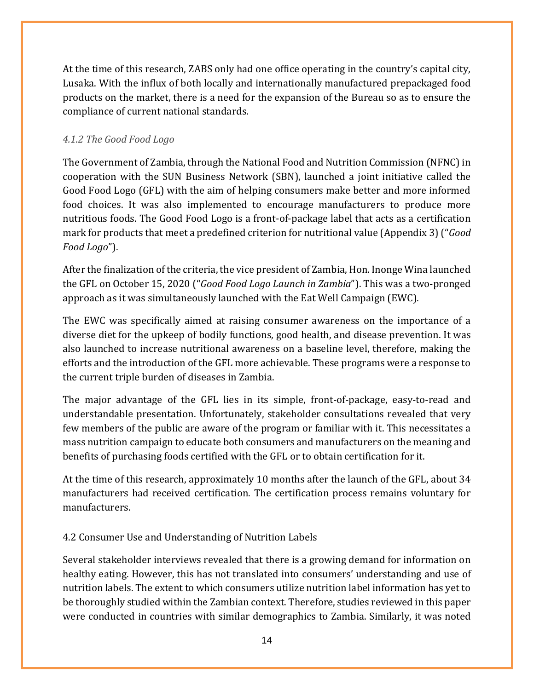At the time of this research, ZABS only had one office operating in the country's capital city, Lusaka. With the influx of both locally and internationally manufactured prepackaged food products on the market, there is a need for the expansion of the Bureau so as to ensure the compliance of current national standards.

### <span id="page-14-0"></span>*4.1.2 The Good Food Logo*

The Government of Zambia, through the National Food and Nutrition Commission (NFNC) in cooperation with the SUN Business Network (SBN), launched a joint initiative called the Good Food Logo (GFL) with the aim of helping consumers make better and more informed food choices. It was also implemented to encourage manufacturers to produce more nutritious foods. The Good Food Logo is a front-of-package label that acts as a certification mark for products that meet a predefined criterion for nutritional value (Appendix 3)("*Good Food Logo*").

After the finalization of the criteria, the vice president of Zambia, Hon. Inonge Wina launched the GFL on October 15, 2020 ("*Good Food Logo Launch in Zambia*"). This was a two-pronged approach as it was simultaneously launched with the Eat Well Campaign (EWC).

The EWC was specifically aimed at raising consumer awareness on the importance of a diverse diet for the upkeep of bodily functions, good health, and disease prevention. It was also launched to increase nutritional awareness on a baseline level, therefore, making the efforts and the introduction of the GFL more achievable. These programs were a response to the current triple burden of diseases in Zambia.

The major advantage of the GFL lies in its simple, front-of-package, easy-to-read and understandable presentation. Unfortunately, stakeholder consultations revealed that very few members of the public are aware of the program or familiar with it. This necessitates a mass nutrition campaign to educate both consumers and manufacturers on the meaning and benefits of purchasing foods certified with the GFL or to obtain certification for it.

At the time of this research, approximately 10 months after the launch of the GFL, about 34 manufacturers had received certification. The certification process remains voluntary for manufacturers.

### <span id="page-14-1"></span>4.2 Consumer Use and Understanding of Nutrition Labels

Several stakeholder interviews revealed that there is a growing demand for information on healthy eating. However, this has not translated into consumers' understanding and use of nutrition labels. The extent to which consumers utilize nutrition label information has yet to be thoroughly studied within the Zambian context. Therefore, studies reviewed in this paper were conducted in countries with similar demographics to Zambia. Similarly, it was noted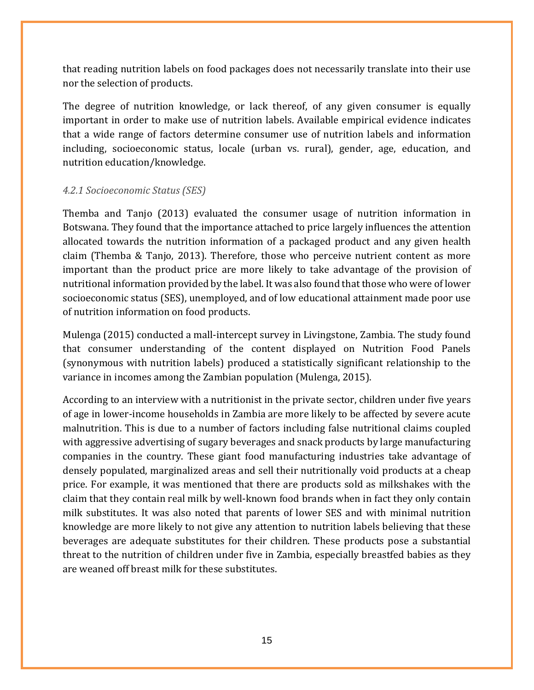that reading nutrition labels on food packages does not necessarily translate into their use nor the selection of products.

The degree of nutrition knowledge, or lack thereof, of any given consumer is equally important in order to make use of nutrition labels. Available empirical evidence indicates that a wide range of factors determine consumer use of nutrition labels and information including, socioeconomic status, locale (urban vs. rural), gender, age, education, and nutrition education/knowledge.

#### <span id="page-15-0"></span>*4.2.1 Socioeconomic Status (SES)*

Themba and Tanjo (2013) evaluated the consumer usage of nutrition information in Botswana. They found that the importance attached to price largely influences the attention allocated towards the nutrition information of a packaged product and any given health claim (Themba & Tanjo, 2013). Therefore, those who perceive nutrient content as more important than the product price are more likely to take advantage of the provision of nutritional information provided by the label. It was also found that those who were of lower socioeconomic status (SES), unemployed, and of low educational attainment made poor use of nutrition information on food products.

Mulenga (2015) conducted a mall-intercept survey in Livingstone, Zambia. The study found that consumer understanding of the content displayed on Nutrition Food Panels (synonymous with nutrition labels) produced a statistically significant relationship to the variance in incomes among the Zambian population (Mulenga, 2015).

According to an interview with a nutritionist in the private sector, children under five years of age in lower-income households in Zambia are more likely to be affected by severe acute malnutrition. This is due to a number of factors including false nutritional claims coupled with aggressive advertising of sugary beverages and snack products by large manufacturing companies in the country. These giant food manufacturing industries take advantage of densely populated, marginalized areas and sell their nutritionally void products at a cheap price. For example, it was mentioned that there are products sold as milkshakes with the claim that they contain real milk by well-known food brands when in fact they only contain milk substitutes. It was also noted that parents of lower SES and with minimal nutrition knowledge are more likely to not give any attention to nutrition labels believing that these beverages are adequate substitutes for their children. These products pose a substantial threat to the nutrition of children under five in Zambia, especially breastfed babies as they are weaned off breast milk for these substitutes.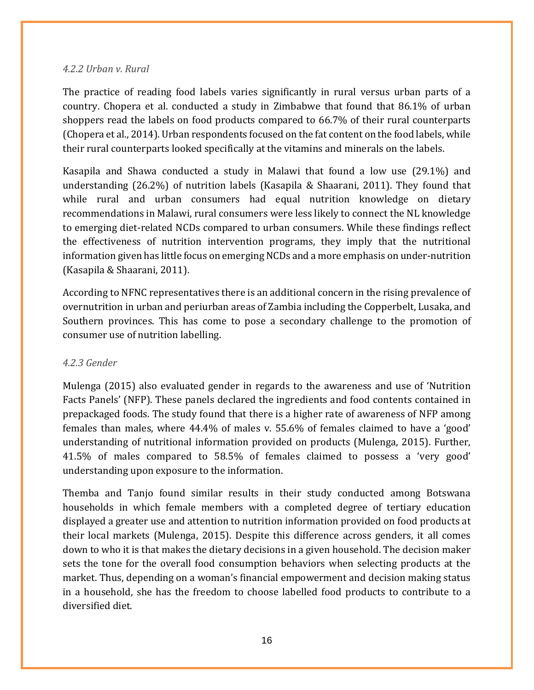#### <span id="page-16-0"></span>*4.2.2 Urban v. Rural*

The practice of reading food labels varies significantly in rural versus urban parts of a country. Chopera et al. conducted a study in Zimbabwe that found that 86.1% of urban shoppers read the labels on food products compared to 66.7% of their rural counterparts (Chopera et al., 2014). Urban respondents focused on the fat content on the food labels, while their rural counterparts looked specifically at the vitamins and minerals on the labels.

Kasapila and Shawa conducted a study in Malawi that found a low use (29.1%) and understanding (26.2%) of nutrition labels (Kasapila & Shaarani, 2011). They found that while rural and urban consumers had equal nutrition knowledge on dietary recommendations in Malawi, rural consumers were less likely to connect the NL knowledge to emerging diet-related NCDs compared to urban consumers. While these findings reflect the effectiveness of nutrition intervention programs, they imply that the nutritional information given has little focus on emerging NCDs and a more emphasis on under-nutrition (Kasapila & Shaarani, 2011).

According to NFNC representatives there is an additional concern in the rising prevalence of overnutrition in urban and periurban areas of Zambia including the Copperbelt, Lusaka, and Southern provinces. This has come to pose a secondary challenge to the promotion of consumer use of nutrition labelling.

#### <span id="page-16-1"></span>*4.2.3 Gender*

Mulenga (2015) also evaluated gender in regards to the awareness and use of 'Nutrition Facts Panels' (NFP). These panels declared the ingredients and food contents contained in prepackaged foods. The study found that there is a higher rate of awareness of NFP among females than males, where 44.4% of males v. 55.6% of females claimed to have a 'good' understanding of nutritional information provided on products (Mulenga, 2015). Further, 41.5% of males compared to 58.5% of females claimed to possess a 'very good' understanding upon exposure to the information.

Themba and Tanjo found similar results in their study conducted among Botswana households in which female members with a completed degree of tertiary education displayed a greater use and attention to nutrition information provided on food products at their local markets (Mulenga, 2015). Despite this difference across genders, it all comes down to who it is that makes the dietary decisions in a given household. The decision maker sets the tone for the overall food consumption behaviors when selecting products at the market. Thus, depending on a woman's financial empowerment and decision making status in a household, she has the freedom to choose labelled food products to contribute to a diversified diet.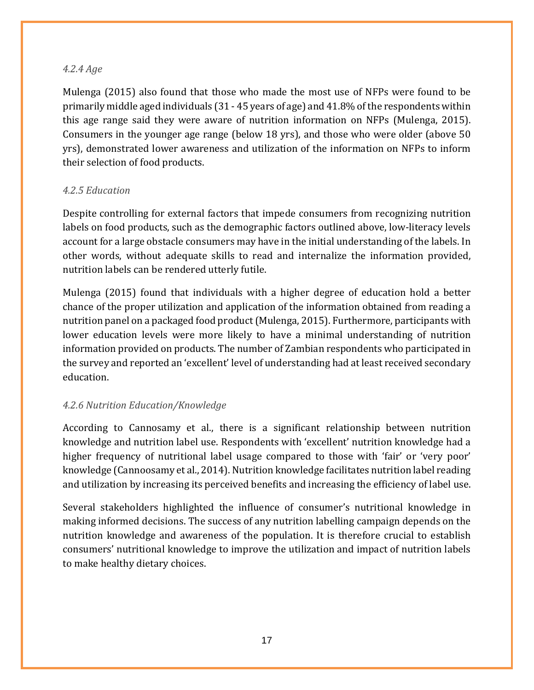#### <span id="page-17-0"></span>*4.2.4 Age*

Mulenga (2015) also found that those who made the most use of NFPs were found to be primarily middle aged individuals (31 - 45 years of age) and 41.8% of the respondents within this age range said they were aware of nutrition information on NFPs (Mulenga, 2015). Consumers in the younger age range (below 18 yrs), and those who were older (above 50 yrs), demonstrated lower awareness and utilization of the information on NFPs to inform their selection of food products.

#### <span id="page-17-1"></span>*4.2.5 Education*

Despite controlling for external factors that impede consumers from recognizing nutrition labels on food products, such as the demographic factors outlined above, low-literacy levels account for a large obstacle consumers may have in the initial understanding of the labels. In other words, without adequate skills to read and internalize the information provided, nutrition labels can be rendered utterly futile.

Mulenga (2015) found that individuals with a higher degree of education hold a better chance of the proper utilization and application of the information obtained from reading a nutrition panel on a packaged food product(Mulenga, 2015). Furthermore, participants with lower education levels were more likely to have a minimal understanding of nutrition information provided on products. The number of Zambian respondents who participated in the survey and reported an 'excellent' level of understanding had at least received secondary education.

#### <span id="page-17-2"></span>*4.2.6 Nutrition Education/Knowledge*

According to Cannosamy et al., there is a significant relationship between nutrition knowledge and nutrition label use. Respondents with 'excellent' nutrition knowledge had a higher frequency of nutritional label usage compared to those with 'fair' or 'very poor' knowledge (Cannoosamy et al., 2014). Nutrition knowledge facilitates nutrition label reading and utilization by increasing its perceived benefits and increasing the efficiency of label use.

Several stakeholders highlighted the influence of consumer's nutritional knowledge in making informed decisions. The success of any nutrition labelling campaign depends on the nutrition knowledge and awareness of the population. It is therefore crucial to establish consumers' nutritional knowledge to improve the utilization and impact of nutrition labels to make healthy dietary choices.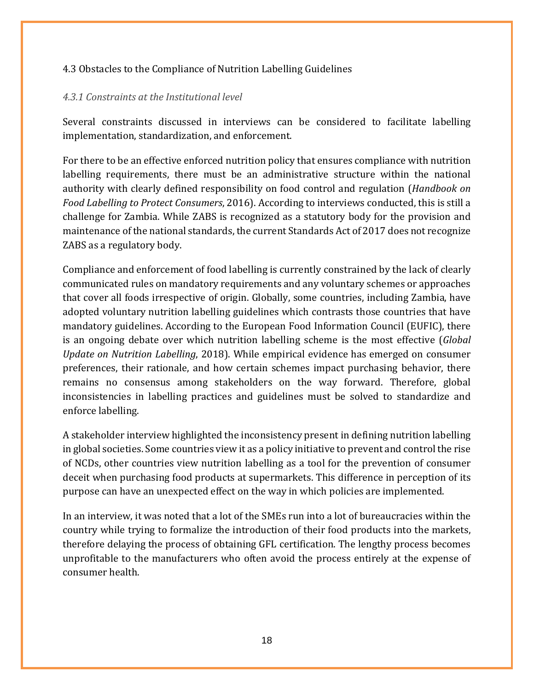#### <span id="page-18-0"></span>4.3 Obstacles to the Compliance of Nutrition Labelling Guidelines

#### <span id="page-18-1"></span>*4.3.1 Constraints at the Institutional level*

Several constraints discussed in interviews can be considered to facilitate labelling implementation, standardization, and enforcement.

For there to be an effective enforced nutrition policy that ensures compliance with nutrition labelling requirements, there must be an administrative structure within the national authority with clearly defined responsibility on food control and regulation (*Handbook on Food Labelling to Protect Consumers*, 2016). According to interviews conducted, this is still a challenge for Zambia. While ZABS is recognized as a statutory body for the provision and maintenance of the national standards, the current Standards Act of 2017 does not recognize ZABS as a regulatory body.

Compliance and enforcement of food labelling is currently constrained by the lack of clearly communicated rules on mandatory requirements and any voluntary schemes or approaches that cover all foods irrespective of origin. Globally, some countries, including Zambia, have adopted voluntary nutrition labelling guidelines which contrasts those countries that have mandatory guidelines. According to the European Food Information Council (EUFIC), there is an ongoing debate over which nutrition labelling scheme is the most effective (*Global Update on Nutrition Labelling*, 2018). While empirical evidence has emerged on consumer preferences, their rationale, and how certain schemes impact purchasing behavior, there remains no consensus among stakeholders on the way forward. Therefore, global inconsistencies in labelling practices and guidelines must be solved to standardize and enforce labelling.

A stakeholder interview highlighted the inconsistency present in defining nutrition labelling in global societies. Some countries view it as a policy initiative to prevent and control the rise of NCDs, other countries view nutrition labelling as a tool for the prevention of consumer deceit when purchasing food products at supermarkets. This difference in perception of its purpose can have an unexpected effect on the way in which policies are implemented.

In an interview, it was noted that a lot of the SMEs run into a lot of bureaucracies within the country while trying to formalize the introduction of their food products into the markets, therefore delaying the process of obtaining GFL certification. The lengthy process becomes unprofitable to the manufacturers who often avoid the process entirely at the expense of consumer health.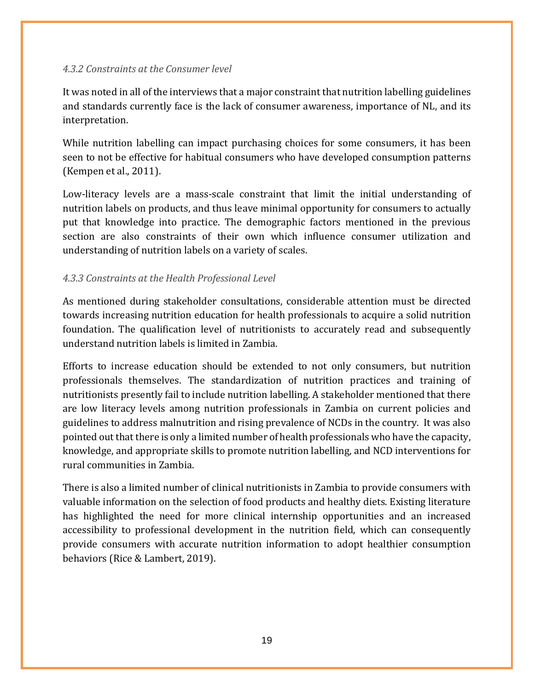#### <span id="page-19-0"></span>*4.3.2 Constraints at the Consumer level*

It was noted in all of the interviews that a major constraint that nutrition labelling guidelines and standards currently face is the lack of consumer awareness, importance of NL, and its interpretation.

While nutrition labelling can impact purchasing choices for some consumers, it has been seen to not be effective for habitual consumers who have developed consumption patterns (Kempen et al., 2011).

Low-literacy levels are a mass-scale constraint that limit the initial understanding of nutrition labels on products, and thus leave minimal opportunity for consumers to actually put that knowledge into practice. The demographic factors mentioned in the previous section are also constraints of their own which influence consumer utilization and understanding of nutrition labels on a variety of scales.

#### <span id="page-19-1"></span>*4.3.3 Constraints at the Health Professional Level*

As mentioned during stakeholder consultations, considerable attention must be directed towards increasing nutrition education for health professionals to acquire a solid nutrition foundation. The qualification level of nutritionists to accurately read and subsequently understand nutrition labels is limited in Zambia.

Efforts to increase education should be extended to not only consumers, but nutrition professionals themselves. The standardization of nutrition practices and training of nutritionists presently fail to include nutrition labelling. A stakeholder mentioned that there are low literacy levels among nutrition professionals in Zambia on current policies and guidelines to address malnutrition and rising prevalence of NCDs in the country. It was also pointed out that there is only a limited number of health professionals who have the capacity, knowledge, and appropriate skills to promote nutrition labelling, and NCD interventions for rural communities in Zambia.

There is also a limited number of clinical nutritionists in Zambia to provide consumers with valuable information on the selection of food products and healthy diets. Existing literature has highlighted the need for more clinical internship opportunities and an increased accessibility to professional development in the nutrition field, which can consequently provide consumers with accurate nutrition information to adopt healthier consumption behaviors (Rice & Lambert, 2019).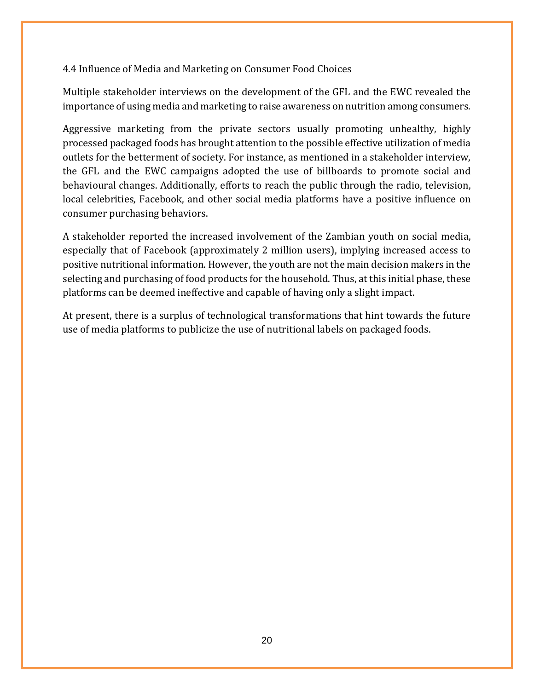#### <span id="page-20-0"></span>4.4 Influence of Media and Marketing on Consumer Food Choices

Multiple stakeholder interviews on the development of the GFL and the EWC revealed the importance of using media and marketing to raise awareness on nutrition among consumers.

Aggressive marketing from the private sectors usually promoting unhealthy, highly processed packaged foods has brought attention to the possible effective utilization of media outlets for the betterment of society. For instance, as mentioned in a stakeholder interview, the GFL and the EWC campaigns adopted the use of billboards to promote social and behavioural changes. Additionally, efforts to reach the public through the radio, television, local celebrities, Facebook, and other social media platforms have a positive influence on consumer purchasing behaviors.

A stakeholder reported the increased involvement of the Zambian youth on social media, especially that of Facebook (approximately 2 million users), implying increased access to positive nutritional information. However, the youth are not the main decision makers in the selecting and purchasing of food products for the household. Thus, at this initial phase, these platforms can be deemed ineffective and capable of having only a slight impact.

At present, there is a surplus of technological transformations that hint towards the future use of media platforms to publicize the use of nutritional labels on packaged foods.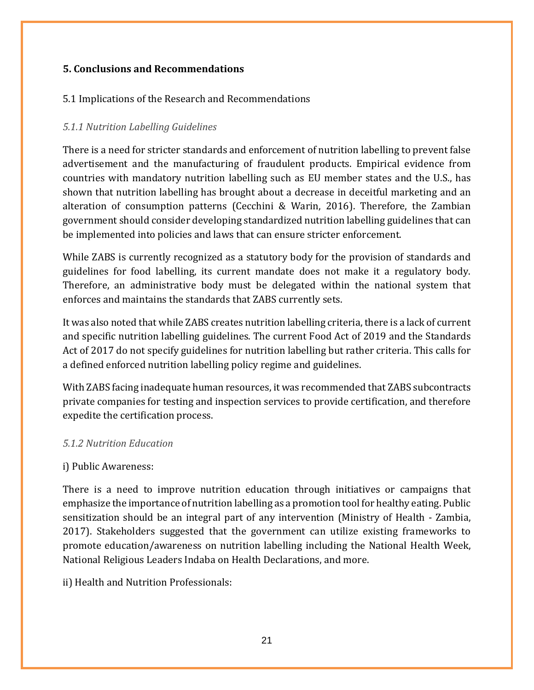#### <span id="page-21-0"></span>**5. Conclusions and Recommendations**

#### <span id="page-21-1"></span>5.1 Implications of the Research and Recommendations

#### <span id="page-21-2"></span>*5.1.1 Nutrition Labelling Guidelines*

There is a need for stricter standards and enforcement of nutrition labelling to prevent false advertisement and the manufacturing of fraudulent products. Empirical evidence from countries with mandatory nutrition labelling such as EU member states and the U.S., has shown that nutrition labelling has brought about a decrease in deceitful marketing and an alteration of consumption patterns (Cecchini & Warin, 2016). Therefore, the Zambian government should consider developing standardized nutrition labelling guidelines that can be implemented into policies and laws that can ensure stricter enforcement.

While ZABS is currently recognized as a statutory body for the provision of standards and guidelines for food labelling, its current mandate does not make it a regulatory body. Therefore, an administrative body must be delegated within the national system that enforces and maintains the standards that ZABS currently sets.

It was also noted that while ZABS creates nutrition labelling criteria, there is a lack of current and specific nutrition labelling guidelines. The current Food Act of 2019 and the Standards Act of 2017 do not specify guidelines for nutrition labelling but rather criteria. This calls for a defined enforced nutrition labelling policy regime and guidelines.

With ZABS facing inadequate human resources, it was recommended that ZABS subcontracts private companies for testing and inspection services to provide certification, and therefore expedite the certification process.

#### <span id="page-21-3"></span>*5.1.2 Nutrition Education*

#### i) Public Awareness:

There is a need to improve nutrition education through initiatives or campaigns that emphasize the importance of nutrition labelling as a promotion tool for healthy eating. Public sensitization should be an integral part of any intervention (Ministry of Health - Zambia, 2017). Stakeholders suggested that the government can utilize existing frameworks to promote education/awareness on nutrition labelling including the National Health Week, National Religious Leaders Indaba on Health Declarations, and more.

ii) Health and Nutrition Professionals: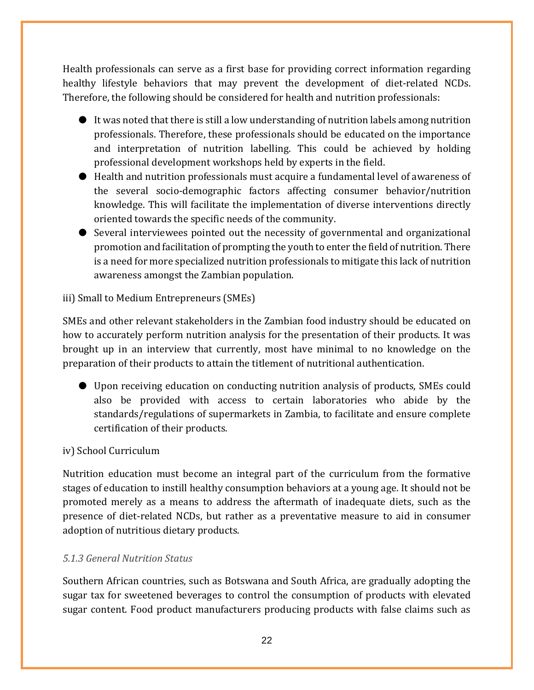Health professionals can serve as a first base for providing correct information regarding healthy lifestyle behaviors that may prevent the development of diet-related NCDs. Therefore, the following should be considered for health and nutrition professionals:

- It was noted that there is still a low understanding of nutrition labels among nutrition professionals. Therefore, these professionals should be educated on the importance and interpretation of nutrition labelling. This could be achieved by holding professional development workshops held by experts in the field.
- Health and nutrition professionals must acquire a fundamental level of awareness of the several socio-demographic factors affecting consumer behavior/nutrition knowledge. This will facilitate the implementation of diverse interventions directly oriented towards the specific needs of the community.
- Several interviewees pointed out the necessity of governmental and organizational promotion and facilitation of prompting the youth to enter the field of nutrition. There is a need for more specialized nutrition professionals to mitigate this lack of nutrition awareness amongst the Zambian population.

#### iii) Small to Medium Entrepreneurs (SMEs)

SMEs and other relevant stakeholders in the Zambian food industry should be educated on how to accurately perform nutrition analysis for the presentation of their products. It was brought up in an interview that currently, most have minimal to no knowledge on the preparation of their products to attain the titlement of nutritional authentication.

● Upon receiving education on conducting nutrition analysis of products, SMEs could also be provided with access to certain laboratories who abide by the standards/regulations of supermarkets in Zambia, to facilitate and ensure complete certification of their products.

#### iv) School Curriculum

Nutrition education must become an integral part of the curriculum from the formative stages of education to instill healthy consumption behaviors at a young age. It should not be promoted merely as a means to address the aftermath of inadequate diets, such as the presence of diet-related NCDs, but rather as a preventative measure to aid in consumer adoption of nutritious dietary products.

#### <span id="page-22-0"></span>*5.1.3 General Nutrition Status*

Southern African countries, such as Botswana and South Africa, are gradually adopting the sugar tax for sweetened beverages to control the consumption of products with elevated sugar content. Food product manufacturers producing products with false claims such as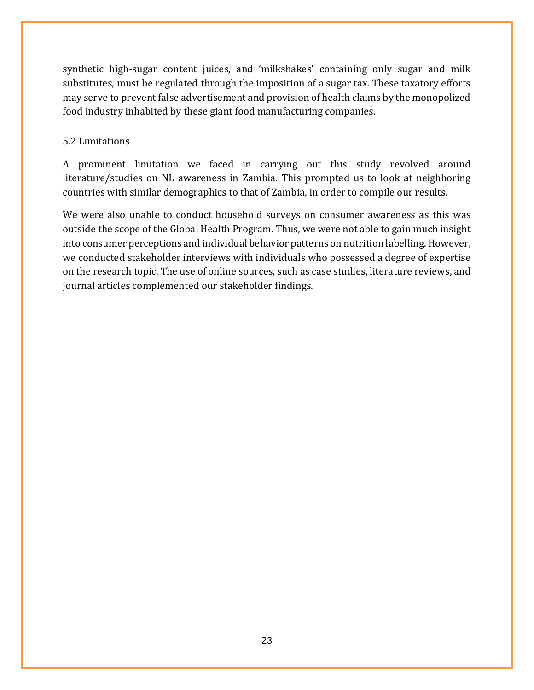synthetic high-sugar content juices, and 'milkshakes' containing only sugar and milk substitutes, must be regulated through the imposition of a sugar tax. These taxatory efforts may serve to prevent false advertisement and provision of health claims by the monopolized food industry inhabited by these giant food manufacturing companies.

#### <span id="page-23-0"></span>5.2 Limitations

A prominent limitation we faced in carrying out this study revolved around literature/studies on NL awareness in Zambia. This prompted us to look at neighboring countries with similar demographics to that of Zambia, in order to compile our results.

We were also unable to conduct household surveys on consumer awareness as this was outside the scope of the Global Health Program. Thus, we were not able to gain much insight into consumer perceptions and individual behavior patterns on nutrition labelling. However, we conducted stakeholder interviews with individuals who possessed a degree of expertise on the research topic. The use of online sources, such as case studies, literature reviews, and journal articles complemented our stakeholder findings.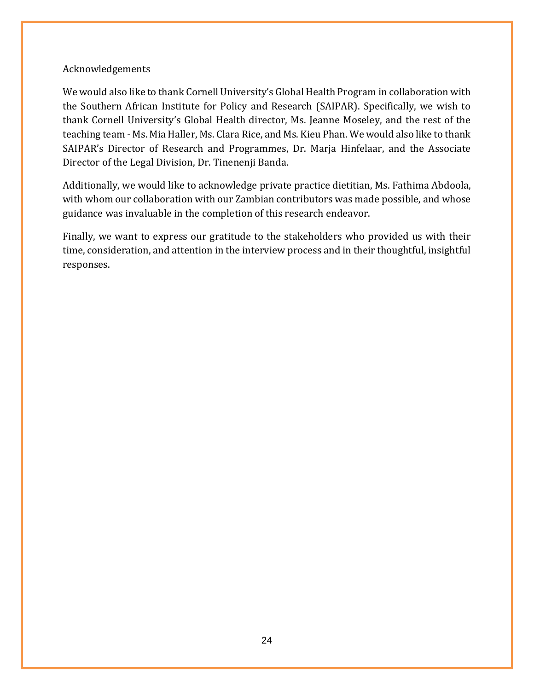#### <span id="page-24-0"></span>Acknowledgements

We would also like to thank Cornell University's Global Health Program in collaboration with the Southern African Institute for Policy and Research (SAIPAR). Specifically, we wish to thank Cornell University's Global Health director, Ms. Jeanne Moseley, and the rest of the teaching team - Ms. Mia Haller, Ms. Clara Rice, and Ms. Kieu Phan. We would also like to thank SAIPAR's Director of Research and Programmes, Dr. Marja Hinfelaar, and the Associate Director of the Legal Division, Dr. Tinenenji Banda.

Additionally, we would like to acknowledge private practice dietitian, Ms. Fathima Abdoola, with whom our collaboration with our Zambian contributors was made possible, and whose guidance was invaluable in the completion of this research endeavor.

Finally, we want to express our gratitude to the stakeholders who provided us with their time, consideration, and attention in the interview process and in their thoughtful, insightful responses.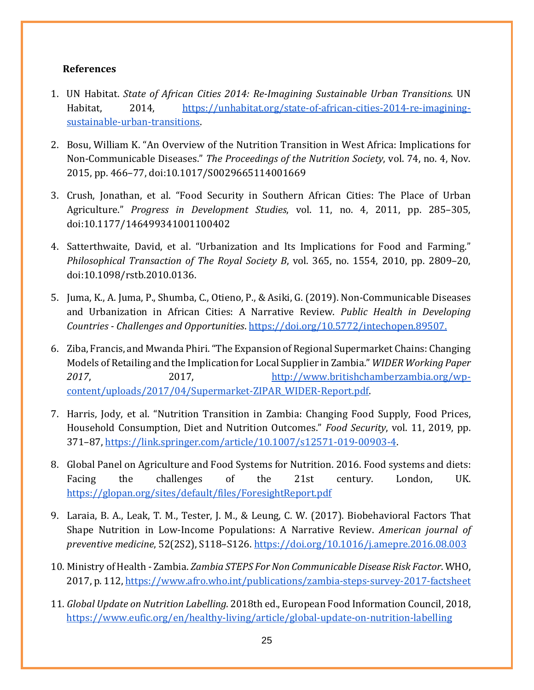#### <span id="page-25-0"></span>**References**

- 1. UN Habitat. *State of African Cities 2014: Re-Imagining Sustainable Urban Transitions*. UN Habitat, 2014, [https://unhabitat.org/state-of-african-cities-2014-re-imagining](https://unhabitat.org/state-of-african-cities-2014-re-imagining-sustainable-urban-transitions)[sustainable-urban-transitions.](https://unhabitat.org/state-of-african-cities-2014-re-imagining-sustainable-urban-transitions)
- 2. Bosu, William K. "An Overview of the Nutrition Transition in West Africa: Implications for Non-Communicable Diseases." *The Proceedings of the Nutrition Society*, vol. 74, no. 4, Nov. 2015, pp. 466–77, doi:10.1017/S0029665114001669
- 3. Crush, Jonathan, et al. "Food Security in Southern African Cities: The Place of Urban Agriculture." *Progress in Development Studies*, vol. 11, no. 4, 2011, pp. 285–305, doi:10.1177/146499341001100402
- 4. Satterthwaite, David, et al. "Urbanization and Its Implications for Food and Farming." *Philosophical Transaction of The Royal Society B*, vol. 365, no. 1554, 2010, pp. 2809–20, doi:10.1098/rstb.2010.0136.
- 5. Juma, K., A. Juma, P., Shumba, C., Otieno, P., & Asiki, G. (2019). Non-Communicable Diseases and Urbanization in African Cities: A Narrative Review. *Public Health in Developing Countries - Challenges and Opportunities*. https://doi.org/10.5772/intechopen.89507.
- 6. Ziba, Francis, and Mwanda Phiri. "The Expansion of Regional Supermarket Chains: Changing Models of Retailing and the I[mplication for Loca](http://www.britishchamberzambia.org/wp-content/uploads/2017/04/Supermarket-ZIPAR_WIDER-Report.pdf)l Supplier in Zambia." *WIDER Working Paper 2017*, 2017, [http://www.britishchamberzambia.org/wp](http://www.britishchamberzambia.org/wp-content/uploads/2017/04/Supermarket-ZIPAR_WIDER-Report.pdf)[content/uploads/2017/04/Supermarket-ZIPAR\\_WIDER-Report.pdf.](http://www.britishchamberzambia.org/wp-content/uploads/2017/04/Supermarket-ZIPAR_WIDER-Report.pdf)
- 7. Harris, Jody, et al. "Nutrition Transition in Zambia: Changing Food Supply, Food Prices, Household Consumption, Diet and Nutrition Outcomes." *Food Security*, vol. 11, 2019, pp. 371–87, [https://link.springer.com/article/10.1007/s12571-019-00903-4.](https://link.springer.com/article/10.1007/s12571-019-00903-4)
- 8. Global Panel on Agriculture and Food Systems for Nutrition. 2016. Food systems and diets: Facing the challenges of the 21st century. London, UK. <https://glopan.org/sites/default/files/ForesightReport.pdf>
- 9. Laraia, B. A., Leak, T. M., Tester, J. M., & Leung, C. W. (2017). Biobehavioral Factors That Shape Nutrition in Low-Income Populations: A Narrative Review. *American journal of preventive medicine*, 52(2S2), S118–S126. https://doi.org/10.1016/j.amepre.2016.08.003
- 10. Ministry of Health Zambia. *Zambia STEPS For Non Communicable Disease Risk Factor*. WHO, 2017, p. 11[2,](https://www.afro.who.int/publications/zambia-steps-survey-2017-factsheet) <https://www.afro.who.int/publications/zambia-steps-survey-2017-factsheet>
- 11. *Global Update on Nutrition Labelling*. 2018th ed., European Food Information Council, 2018[,](https://www.eufic.org/en/healthy-living/article/global-update-on-nutrition-labelling) <https://www.eufic.org/en/healthy-living/article/global-update-on-nutrition-labelling>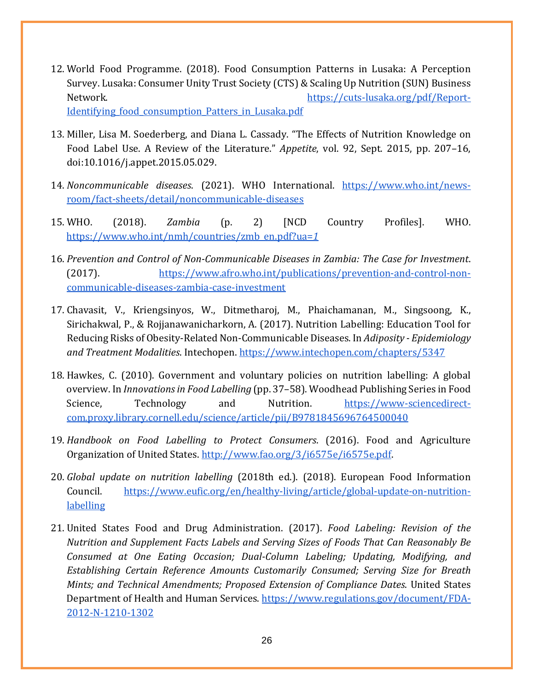- 12. World Food Programme. (2018). Food Consumption Patterns in Lusaka: A Perception Survey. Lusaka: Consumer Unity Trust Society (CTS) & Scaling Up Nutrition (SUN) Business Network. https://cuts-lusaka.org/pdf/Report-Identifying food consumption Patters in Lusaka.pdf
- 13. Miller, Lisa M. Soederberg, and Diana L. Cassady. "The Effects of Nutrition Knowledge on Food Label Use. A Review of the Literature." *Appetite*, vol. 92, Sept. 2015, pp. 207–16, doi:10.1016/j.appet.2015.05.029.
- 14. *Noncommunicable diseases*. (2021). WHO Internationa[l.](https://www.who.int/news-room/fact-sheets/detail/noncommunicable-diseases) [https://www.who.int/news](https://www.who.int/news-room/fact-sheets/detail/noncommunicable-diseases)[room/fact-sheets/detail/noncommunicable-diseases](https://www.who.int/news-room/fact-sheets/detail/noncommunicable-diseases)
- 15. WHO. (2018). *Zambia* (p. 2) [NCD Country Profiles]. WHO[.](https://www.who.int/nmh/countries/zmb_en.pdf?ua=1) [https://www.who.int/nmh/countries/zmb\\_en.pdf?ua=](https://www.who.int/nmh/countries/zmb_en.pdf?ua=1)*[1](https://www.who.int/nmh/countries/zmb_en.pdf?ua=1)*
- 16. *Prevention and Control of Non-Communicable Diseases in Zambia: The Case for Investment*. (2017[\).](https://www.afro.who.int/publications/prevention-and-control-non-communicable-diseases-zambia-case-investment) [https://www.afro.who.int/publications/prevention-and-control-non](https://www.afro.who.int/publications/prevention-and-control-non-communicable-diseases-zambia-case-investment)[communicable-diseases-zambia-case-investment](https://www.afro.who.int/publications/prevention-and-control-non-communicable-diseases-zambia-case-investment)
- 17. Chavasit, V., Kriengsinyos, W., Ditmetharoj, M., Phaichamanan, M., Singsoong, K., Sirichakwal, P., & Rojjanawanicharkorn, A. (2017). Nutrition Labelling: Education Tool for Reducing Risks of Obesity-Related Non-Communicable Diseases. In *Adiposity - Epidemiology and Treatment Modalities*. Intechopen. <https://www.intechopen.com/chapters/5347>
- 18. Hawkes, C. (2010). Government and voluntary policies on nutrition labelling: A global overview. In *Innovations in Food Labelling* (pp. 37–58). Woodhead Publishing Series in Food Science, Technology and Nutrition[.](https://www-sciencedirect-com.proxy.library.cornell.edu/science/article/pii/B9781845696764500040) [https://www-sciencedirect](https://www-sciencedirect-com.proxy.library.cornell.edu/science/article/pii/B9781845696764500040)[com.proxy.library.cornell.edu/science/article/pii/B9781845696764500040](https://www-sciencedirect-com.proxy.library.cornell.edu/science/article/pii/B9781845696764500040)
- 19. *Handbook on Food Labelling to Protect Consumers*. (2016). Food and Agriculture Organization of United State[s.](http://www.fao.org/3/i6575e/i6575e.pdf) [http://www.fao.org/3/i6575e/i6575e.pdf.](http://www.fao.org/3/i6575e/i6575e.pdf)
- 20. *Global update on nutrition labelling* (2018th ed.). (2018). European Food Information Council[.](https://www.eufic.org/en/healthy-living/article/global-update-on-nutrition-labelling) [https://www.eufic.org/en/healthy-living/article/global-update-on-nutrition](https://www.eufic.org/en/healthy-living/article/global-update-on-nutrition-labelling)[labelling](https://www.eufic.org/en/healthy-living/article/global-update-on-nutrition-labelling)
- 21. United States Food and Drug Administration. (2017). *Food Labeling: Revision of the Nutrition and Supplement Facts Labels and Serving Sizes of Foods That Can Reasonably Be Consumed at One Eating Occasion; Dual-Column Labeling; Updating, Modifying, and Establishing Certain Reference Amounts Customarily Consumed; Serving Size for Breath Mints; and Technical Amendments; Proposed Extension of Compliance Dates*. United States Department of Health and Human Service[s.](https://www.regulations.gov/document/FDA-2012-N-1210-1302) [https://www.regulations.gov/document/FDA-](https://www.regulations.gov/document/FDA-2012-N-1210-1302)[2012-N-1210-1302](https://www.regulations.gov/document/FDA-2012-N-1210-1302)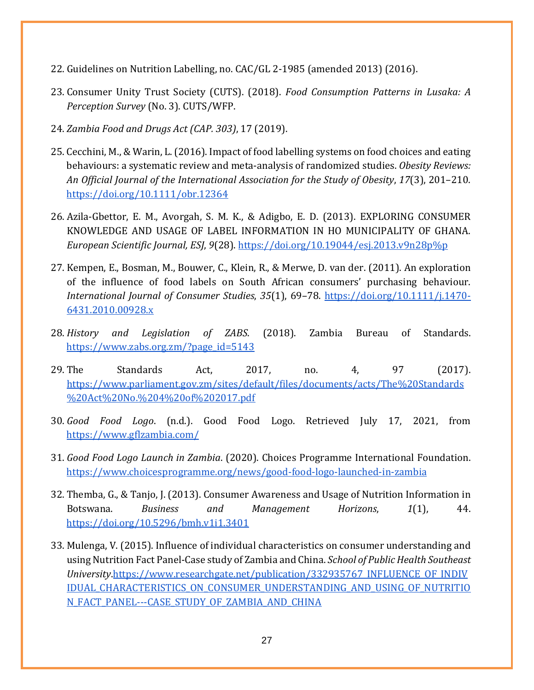- 22. Guidelines on Nutrition Labelling, no. CAC/GL 2-1985 (amended 2013) (2016).
- 23. Consumer Unity Trust Society (CUTS). (2018). *Food Consumption Patterns in Lusaka: A Perception Survey* (No. 3). CUTS/WFP.
- 24. *Zambia Food and Drugs Act (CAP. 303)*, 17 (2019).
- 25. Cecchini, M., & Warin, L. (2016). Impact of food labelling systems on food choices and eating behaviours: a systematic review and meta-analysis of randomized studies. *Obesity Reviews: An Official Journal of the International Association for the Study of Obesity*, *17*(3), 201–210[.](https://doi.org/10.1111/obr.12364) <https://doi.org/10.1111/obr.12364>
- 26. Azila-Gbettor, E. M., Avorgah, S. M. K., & Adigbo, E. D. (2013). EXPLORING CONSUMER KNOWLEDGE AND USAGE OF LABEL INFORMATION IN HO MUNICIPALITY OF GHANA. *European Scientific Journal, ESJ*, *9*(28). [https://doi.org/10.19044/esj.2013.v9n28p%p](https://doi.org/10.19044/esj.2013.v9n28p%25p)
- 27. Kempen, E., Bosman, M., Bouwer, C., Klein, R., & Merwe, D. van der. (2011). An exploration of the influence of food labels on South African consumers' purchasing behaviour. *International Journal of Consumer Studies*, *35*(1), 69–78. [https://doi.org/10.1111/j.1470-](https://doi.org/10.1111/j.1470-6431.2010.00928.x) [6431.2010.00928.x](https://doi.org/10.1111/j.1470-6431.2010.00928.x)
- 28. *History and Legislation of ZABS*. (2018). Zambia Bureau of Standards[.](https://www.zabs.org.zm/?page_id=5143) [https://www.zabs.org.zm/?page\\_id=5143](https://www.zabs.org.zm/?page_id=5143)
- 29. The Standards Act, 2017, no. 4, 97 (2017). [https://www.parliament.gov.zm/sites/default/files/documents/acts/The%20Standards](https://www.parliament.gov.zm/sites/default/files/documents/acts/The%20Standards%20Act%20No.%204%20of%202017.pdf) [%20Act%20No.%204%20of%202017.pdf](https://www.parliament.gov.zm/sites/default/files/documents/acts/The%20Standards%20Act%20No.%204%20of%202017.pdf)
- 30. *Good Food Logo*. (n.d.). Good Food Logo. Retrieved July 17, 2021, fro[m](https://www.gflzambia.com/) <https://www.gflzambia.com/>
- 31. *Good Food Logo Launch in Zambia*. (2020). Choices Programme International Foundation[.](https://www.choicesprogramme.org/news/good-food-logo-launched-in-zambia) <https://www.choicesprogramme.org/news/good-food-logo-launched-in-zambia>
- 32. Themba, G., & Tanjo, J. (2013). Consumer Awareness and Usage of Nutrition Information in Botswana. *Business and Management Horizons*, *1*(1), 44. <https://doi.org/10.5296/bmh.v1i1.3401>
- 33. Mulenga, V. (2015). Influence of individual characteristics on consumer understanding and using Nutrition Fact Panel-Case study of Zambia and China. *School of Public Health Southeast University*[.https://www.researchgate.net/publication/332935767\\_INFLUENCE\\_OF\\_INDIV](https://www.researchgate.net/publication/332935767_INFLUENCE_OF_INDIVIDUAL_CHARACTERISTICS_ON_CONSUMER_UNDERSTANDING_AND_USING_OF_NUTRITION_FACT_PANEL---CASE_STUDY_OF_ZAMBIA_AND_CHINA) IDUAL CHARACTERISTICS ON CONSUMER UNDERSTANDING AND USING OF NUTRITIO [N\\_FACT\\_PANEL---CASE\\_STUDY\\_OF\\_ZAMBIA\\_AND\\_CHINA](https://www.researchgate.net/publication/332935767_INFLUENCE_OF_INDIVIDUAL_CHARACTERISTICS_ON_CONSUMER_UNDERSTANDING_AND_USING_OF_NUTRITION_FACT_PANEL---CASE_STUDY_OF_ZAMBIA_AND_CHINA)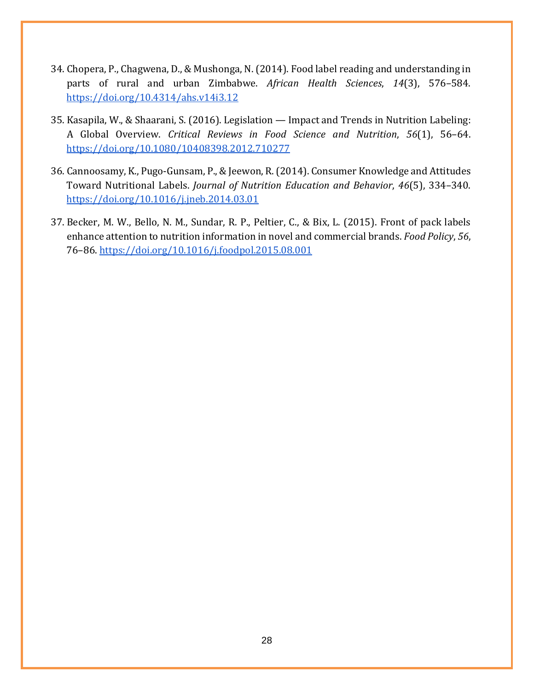- 34. Chopera, P., Chagwena, D., & Mushonga, N. (2014). Food label reading and understanding in parts of rural and urban Zimbabwe. *African Health Sciences*, *14*(3), 576–584[.](https://doi.org/10.4314/ahs.v14i3.12) <https://doi.org/10.4314/ahs.v14i3.12>
- 35. Kasapila, W., & Shaarani, S. (2016). Legislation Impact and Trends in Nutrition Labeling: A Global Overview. *Critical Reviews in Food Science and Nutrition*, *56*(1), 56–64[.](https://doi.org/10.1080/10408398.2012.710277) <https://doi.org/10.1080/10408398.2012.710277>
- 36. Cannoosamy, K., Pugo-Gunsam, P., & Jeewon, R. (2014). Consumer Knowledge and Attitudes Toward Nutritional Labels. *Journal of Nutrition Education and Behavior*, *46*(5), 334–340[.](https://doi.org/10.1016/j.jneb.2014.03.010) <https://doi.org/10.1016/j.jneb.2014.03.01>
- 37. Becker, M. W., Bello, N. M., Sundar, R. P., Peltier, C., & Bix, L. (2015). Front of pack labels enhance attention to nutrition information in novel and commercial brands. *Food Policy*, *56*, 76–86.<https://doi.org/10.1016/j.foodpol.2015.08.001>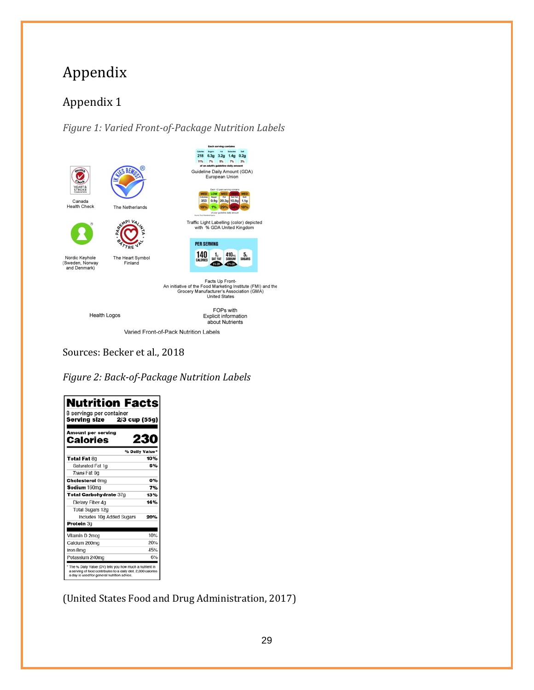## <span id="page-29-1"></span><span id="page-29-0"></span>Appendix 1

<span id="page-29-2"></span>*Figure 1: Varied Front-of-Package Nutrition Labels* 



The Heart Symbol<br>Finland



Facts Up Front-<br>An initiative of the Food Marketing Institute (FMI) and the<br>Grocery Manufacturer's Association (GMA)<br>United States

**Health Logos** 

Nordic Keyhole<br>(Sweden, Norway<br>and Denmark)

FOPs with<br>Explicit information about Nutrients

Varied Front-of-Pack Nutrition Labels

Sources: Becker et al., 2018

*Figure 2: Back-of-Package Nutrition Labels*

| <b>Nutrition Facts</b><br>8 servings per container<br>2/3 cup (55g)<br>Serving size |                |
|-------------------------------------------------------------------------------------|----------------|
| <b>Amount per serving</b><br>Calories                                               | 230            |
|                                                                                     | % Daily Value' |
| Total Fat 80                                                                        | 10%            |
| Saturated Fat 1g                                                                    | 5%             |
| Trans Fat 0g                                                                        |                |
| <b>Cholesterol Omg</b>                                                              | 0%             |
| Sodium 160mg                                                                        | 7%             |
| Total Carbohydrate 37g                                                              | 13%            |
| Dietary Fiber 4g                                                                    | 14%            |
| Total Sugars 12g                                                                    |                |
| Includes 10g Added Sugars                                                           | 20%            |
| Protein 3g                                                                          |                |
| Vitamin D 2mcg                                                                      | 10%            |
| Calcium 260mg                                                                       | 20%            |
| Iron 8mg                                                                            | 45%            |
| Potassium 240mg                                                                     | 6%             |

(United States Food and Drug Administration, 2017)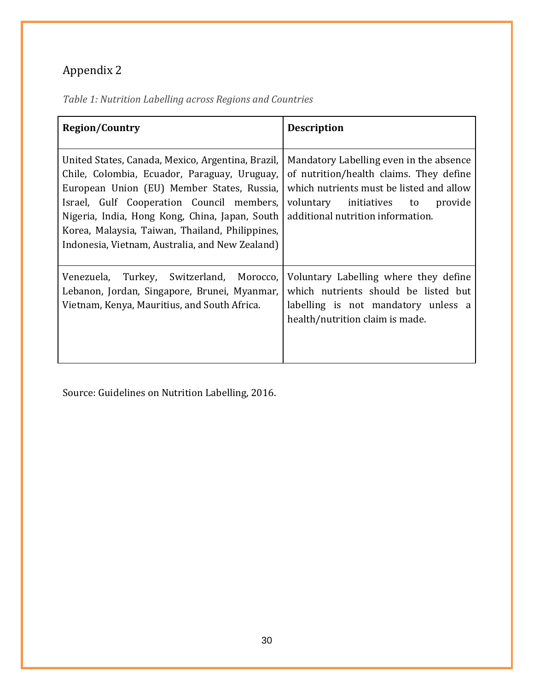<span id="page-30-1"></span><span id="page-30-0"></span>

| Table 1: Nutrition Labelling across Regions and Countries |  |
|-----------------------------------------------------------|--|
|-----------------------------------------------------------|--|

| <b>Region/Country</b>                                                                                                                                                                                                                                                                                                                                | <b>Description</b>                                                                                                                                                                                         |
|------------------------------------------------------------------------------------------------------------------------------------------------------------------------------------------------------------------------------------------------------------------------------------------------------------------------------------------------------|------------------------------------------------------------------------------------------------------------------------------------------------------------------------------------------------------------|
| United States, Canada, Mexico, Argentina, Brazil,<br>Chile, Colombia, Ecuador, Paraguay, Uruguay,<br>European Union (EU) Member States, Russia,<br>Israel, Gulf Cooperation Council members,<br>Nigeria, India, Hong Kong, China, Japan, South<br>Korea, Malaysia, Taiwan, Thailand, Philippines,<br>Indonesia, Vietnam, Australia, and New Zealand) | Mandatory Labelling even in the absence<br>of nutrition/health claims. They define<br>which nutrients must be listed and allow<br>voluntary initiatives to<br>provide<br>additional nutrition information. |
| Venezuela,<br>Turkey, Switzerland, Morocco,<br>Lebanon, Jordan, Singapore, Brunei, Myanmar,<br>Vietnam, Kenya, Mauritius, and South Africa.                                                                                                                                                                                                          | Voluntary Labelling where they define<br>which nutrients should be listed but<br>labelling is not mandatory unless a<br>health/nutrition claim is made.                                                    |

Source: Guidelines on Nutrition Labelling, 2016.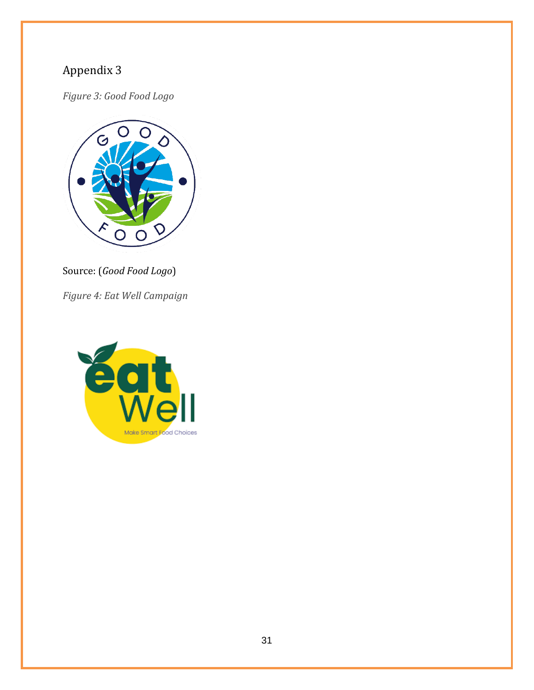<span id="page-31-1"></span><span id="page-31-0"></span>*Figure 3: Good Food Logo*



Source: (*Good Food Logo*)

<span id="page-31-2"></span>*Figure 4: Eat Well Campaign*

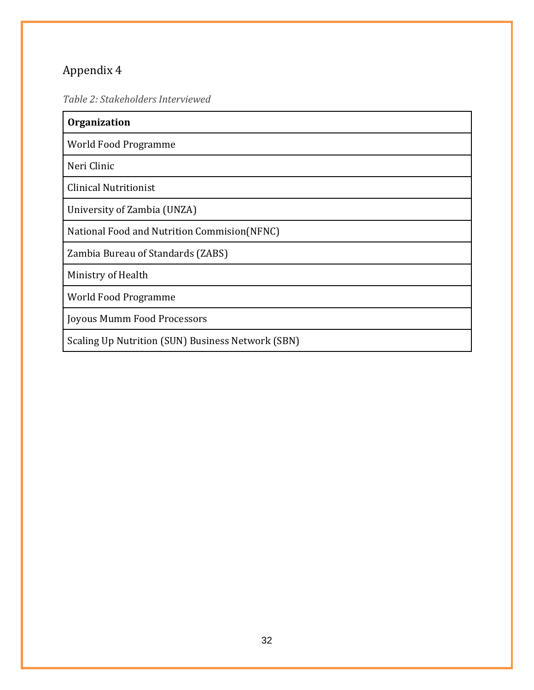<span id="page-32-1"></span><span id="page-32-0"></span>*Table 2: Stakeholders Interviewed* 

| <b>Organization</b>                               |
|---------------------------------------------------|
| World Food Programme                              |
| Neri Clinic                                       |
| <b>Clinical Nutritionist</b>                      |
| University of Zambia (UNZA)                       |
| National Food and Nutrition Commision(NFNC)       |
| Zambia Bureau of Standards (ZABS)                 |
| Ministry of Health                                |
| World Food Programme                              |
| Joyous Mumm Food Processors                       |
| Scaling Up Nutrition (SUN) Business Network (SBN) |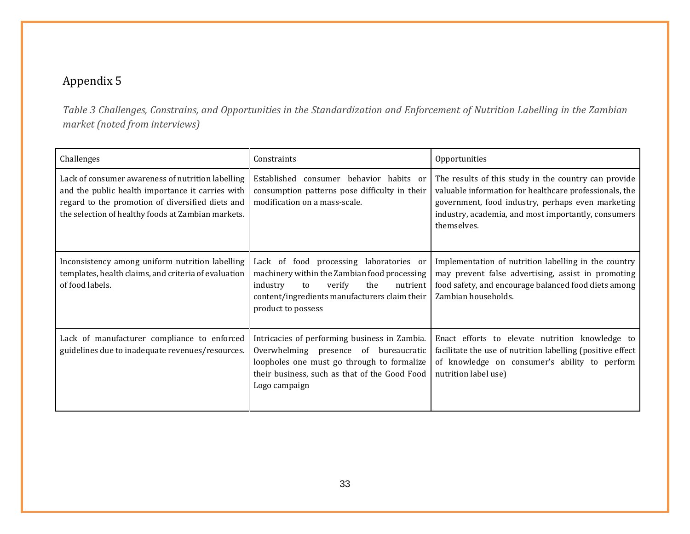*Table 3 Challenges, Constrains, and Opportunities in the Standardization and Enforcement of Nutrition Labelling in the Zambian market (noted from interviews)*

<span id="page-33-1"></span><span id="page-33-0"></span>

| Challenges                                                                                                                                                                                                      | Constraints                                                                                                                                                                                                   | Opportunities                                                                                                                                                                                                                             |
|-----------------------------------------------------------------------------------------------------------------------------------------------------------------------------------------------------------------|---------------------------------------------------------------------------------------------------------------------------------------------------------------------------------------------------------------|-------------------------------------------------------------------------------------------------------------------------------------------------------------------------------------------------------------------------------------------|
| Lack of consumer awareness of nutrition labelling<br>and the public health importance it carries with<br>regard to the promotion of diversified diets and<br>the selection of healthy foods at Zambian markets. | Established<br>consumer behavior habits or<br>consumption patterns pose difficulty in their<br>modification on a mass-scale.                                                                                  | The results of this study in the country can provide<br>valuable information for healthcare professionals, the<br>government, food industry, perhaps even marketing<br>industry, academia, and most importantly, consumers<br>themselves. |
| Inconsistency among uniform nutrition labelling<br>templates, health claims, and criteria of evaluation<br>of food labels.                                                                                      | Lack of food processing laboratories or<br>machinery within the Zambian food processing<br>industry<br>verify<br>the<br>nutrient<br>to<br>content/ingredients manufacturers claim their<br>product to possess | Implementation of nutrition labelling in the country<br>may prevent false advertising, assist in promoting<br>food safety, and encourage balanced food diets among<br>Zambian households.                                                 |
| Lack of manufacturer compliance to enforced<br>guidelines due to inadequate revenues/resources.                                                                                                                 | Intricacies of performing business in Zambia.<br>Overwhelming presence of bureaucratic<br>loopholes one must go through to formalize<br>their business, such as that of the Good Food<br>Logo campaign        | Enact efforts to elevate nutrition knowledge to<br>facilitate the use of nutrition labelling (positive effect<br>of knowledge on consumer's ability to perform<br>nutrition label use)                                                    |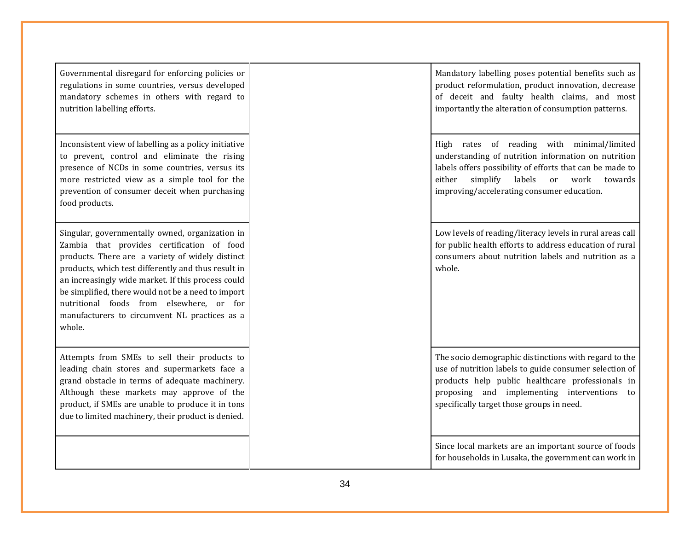| Governmental disregard for enforcing policies or<br>regulations in some countries, versus developed<br>mandatory schemes in others with regard to<br>nutrition labelling efforts.                                                                                                                                                                                                                                           | Mandatory labelling poses potential benefits such as<br>product reformulation, product innovation, decrease<br>of deceit and faulty health claims, and most<br>importantly the alteration of consumption patterns.                                                              |
|-----------------------------------------------------------------------------------------------------------------------------------------------------------------------------------------------------------------------------------------------------------------------------------------------------------------------------------------------------------------------------------------------------------------------------|---------------------------------------------------------------------------------------------------------------------------------------------------------------------------------------------------------------------------------------------------------------------------------|
| Inconsistent view of labelling as a policy initiative<br>to prevent, control and eliminate the rising<br>presence of NCDs in some countries, versus its<br>more restricted view as a simple tool for the<br>prevention of consumer deceit when purchasing<br>food products.                                                                                                                                                 | High rates of reading with minimal/limited<br>understanding of nutrition information on nutrition<br>labels offers possibility of efforts that can be made to<br>simplify<br>labels<br>work<br>either<br><sub>or</sub><br>towards<br>improving/accelerating consumer education. |
| Singular, governmentally owned, organization in<br>Zambia that provides certification of food<br>products. There are a variety of widely distinct<br>products, which test differently and thus result in<br>an increasingly wide market. If this process could<br>be simplified, there would not be a need to import<br>nutritional foods from elsewhere, or for<br>manufacturers to circumvent NL practices as a<br>whole. | Low levels of reading/literacy levels in rural areas call<br>for public health efforts to address education of rural<br>consumers about nutrition labels and nutrition as a<br>whole.                                                                                           |
| Attempts from SMEs to sell their products to<br>leading chain stores and supermarkets face a<br>grand obstacle in terms of adequate machinery.<br>Although these markets may approve of the<br>product, if SMEs are unable to produce it in tons<br>due to limited machinery, their product is denied.                                                                                                                      | The socio demographic distinctions with regard to the<br>use of nutrition labels to guide consumer selection of<br>products help public healthcare professionals in<br>proposing and implementing interventions to<br>specifically target those groups in need.                 |
|                                                                                                                                                                                                                                                                                                                                                                                                                             | Since local markets are an important source of foods<br>for households in Lusaka, the government can work in                                                                                                                                                                    |